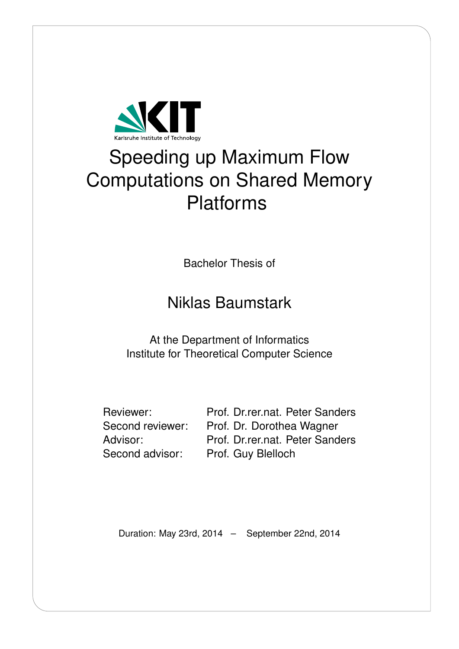

# Speeding up Maximum Flow Computations on Shared Memory Platforms

Bachelor Thesis of

# Niklas Baumstark

At the Department of Informatics Institute for Theoretical Computer Science

Reviewer: Prof. Dr.rer.nat. Peter Sanders Second reviewer: Prof. Dr. Dorothea Wagner Advisor: Prof. Dr.rer.nat. Peter Sanders Second advisor: Prof. Guy Blelloch

Duration: May 23rd, 2014 – September 22nd, 2014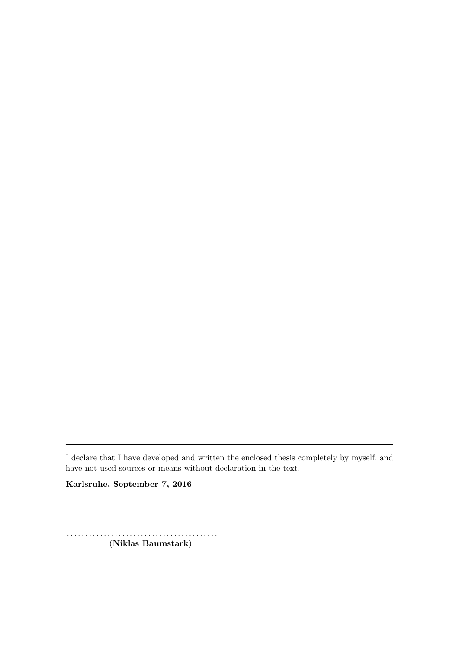I declare that I have developed and written the enclosed thesis completely by myself, and have not used sources or means without declaration in the text.

Karlsruhe, September 7, 2016

. . . . . . . . . . . . . . . . . . . . . . . . . . . . . . . . . . . . . . . . . (Niklas Baumstark)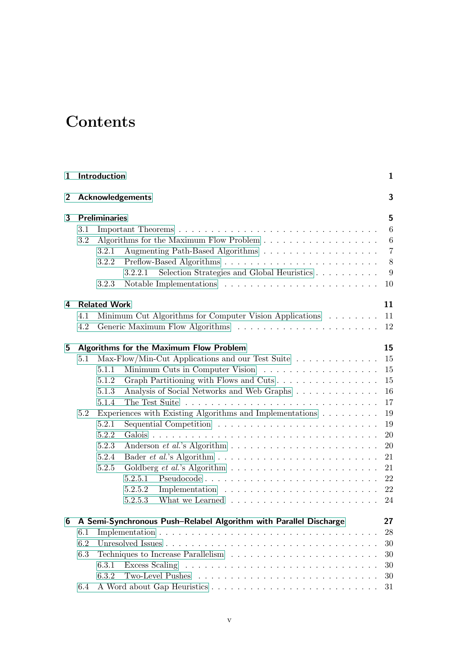# **Contents**

| $\mathbf{1}$   |                                                                                                                        | Introduction                                                                                                                                                                                                                                                                                                                          | $\mathbf{1}$                           |  |  |  |  |  |
|----------------|------------------------------------------------------------------------------------------------------------------------|---------------------------------------------------------------------------------------------------------------------------------------------------------------------------------------------------------------------------------------------------------------------------------------------------------------------------------------|----------------------------------------|--|--|--|--|--|
| $\overline{2}$ |                                                                                                                        | <b>Acknowledgements</b>                                                                                                                                                                                                                                                                                                               |                                        |  |  |  |  |  |
| 3              | <b>Preliminaries</b><br>3.1<br>3.2<br>3.2.1<br>3.2.2<br>Selection Strategies and Global Heuristics<br>3.2.2.1<br>3.2.3 |                                                                                                                                                                                                                                                                                                                                       |                                        |  |  |  |  |  |
| 4              | 4.1<br>4.2                                                                                                             | <b>Related Work</b><br>Minimum Cut Algorithms for Computer Vision Applications                                                                                                                                                                                                                                                        | 11<br>11<br>12                         |  |  |  |  |  |
| 5              |                                                                                                                        | <b>Algorithms for the Maximum Flow Problem</b>                                                                                                                                                                                                                                                                                        | 15                                     |  |  |  |  |  |
|                | 5.1<br>5.2                                                                                                             | Max-Flow/Min-Cut Applications and our Test Suite<br>5.1.1<br>Graph Partitioning with Flows and Cuts<br>5.1.2<br>Analysis of Social Networks and Web Graphs<br>5.1.3<br>5.1.4<br>Experiences with Existing Algorithms and Implementations<br>Sequential Competition $\ldots \ldots \ldots \ldots \ldots \ldots \ldots \ldots$<br>5.2.1 | 15<br>15<br>15<br>16<br>17<br>19<br>19 |  |  |  |  |  |
|                |                                                                                                                        | 5.2.2<br>5.2.3<br>5.2.4<br>5.2.5<br>Goldberg <i>et al.</i> 's Algorithm $\ldots \ldots \ldots \ldots \ldots \ldots \ldots$<br>5.2.5.1<br>5.2.5.2<br>5.2.5.3                                                                                                                                                                           | 20<br>20<br>21<br>21<br>22<br>22<br>24 |  |  |  |  |  |
| 6              |                                                                                                                        | A Semi-Synchronous Push-Relabel Algorithm with Parallel Discharge                                                                                                                                                                                                                                                                     | 27                                     |  |  |  |  |  |
|                | 6.1<br>6.2<br>6.3                                                                                                      | 6.3.1<br>6.3.2                                                                                                                                                                                                                                                                                                                        | 28<br>30<br>30<br>30<br>30             |  |  |  |  |  |
|                | 6.4                                                                                                                    |                                                                                                                                                                                                                                                                                                                                       | 31                                     |  |  |  |  |  |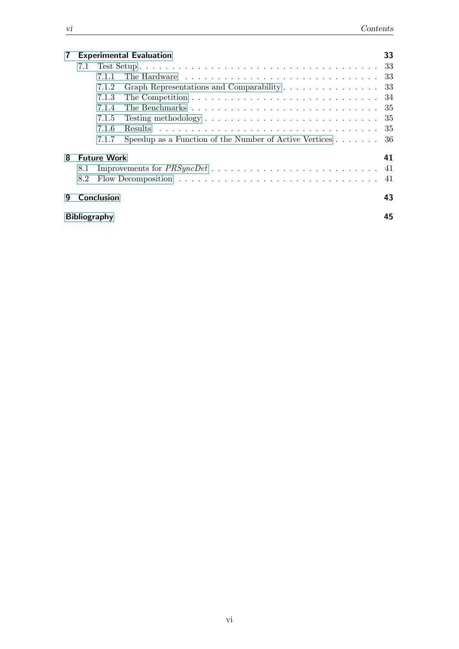| 7 | 33<br><b>Experimental Evaluation</b> |                    |                                                                                                                 |     |  |  |  |  |  |
|---|--------------------------------------|--------------------|-----------------------------------------------------------------------------------------------------------------|-----|--|--|--|--|--|
|   | 7.1                                  |                    |                                                                                                                 | -33 |  |  |  |  |  |
|   |                                      | 7.1.1              | The Hardware resources in the service is a service of the Hardware resources in the Hardware resources in the H | -33 |  |  |  |  |  |
|   |                                      | 7.1.2              | Graph Representations and Comparability 33                                                                      |     |  |  |  |  |  |
|   |                                      | 7.1.3              | The Competition $\dots \dots \dots \dots \dots \dots \dots \dots \dots \dots \dots \dots 34$                    |     |  |  |  |  |  |
|   |                                      | 7.1.4              |                                                                                                                 |     |  |  |  |  |  |
|   |                                      | 7.1.5              |                                                                                                                 |     |  |  |  |  |  |
|   |                                      | 7.1.6              |                                                                                                                 | -35 |  |  |  |  |  |
|   |                                      | 7.1.7              | Speedup as a Function of the Number of Active Vertices $\dots \dots$ 36                                         |     |  |  |  |  |  |
| 8 |                                      | <b>Future Work</b> |                                                                                                                 | 41  |  |  |  |  |  |
|   | 8.1                                  |                    |                                                                                                                 |     |  |  |  |  |  |
|   | 8.2                                  |                    |                                                                                                                 | 41  |  |  |  |  |  |
| 9 |                                      | Conclusion         |                                                                                                                 | 43  |  |  |  |  |  |
|   | 45<br><b>Bibliography</b>            |                    |                                                                                                                 |     |  |  |  |  |  |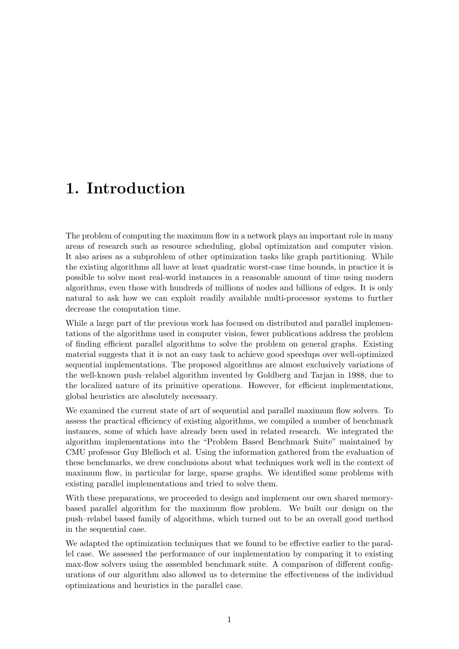## <span id="page-6-0"></span>1. Introduction

The problem of computing the maximum flow in a network plays an important role in many areas of research such as resource scheduling, global optimization and computer vision. It also arises as a subproblem of other optimization tasks like graph partitioning. While the existing algorithms all have at least quadratic worst-case time bounds, in practice it is possible to solve most real-world instances in a reasonable amount of time using modern algorithms, even those with hundreds of millions of nodes and billions of edges. It is only natural to ask how we can exploit readily available multi-processor systems to further decrease the computation time.

While a large part of the previous work has focused on distributed and parallel implementations of the algorithms used in computer vision, fewer publications address the problem of finding efficient parallel algorithms to solve the problem on general graphs. Existing material suggests that it is not an easy task to achieve good speedups over well-optimized sequential implementations. The proposed algorithms are almost exclusively variations of the well-known push–relabel algorithm invented by Goldberg and Tarjan in 1988, due to the localized nature of its primitive operations. However, for efficient implementations, global heuristics are absolutely necessary.

We examined the current state of art of sequential and parallel maximum flow solvers. To assess the practical efficiency of existing algorithms, we compiled a number of benchmark instances, some of which have already been used in related research. We integrated the algorithm implementations into the "Problem Based Benchmark Suite" maintained by CMU professor Guy Blelloch et al. Using the information gathered from the evaluation of these benchmarks, we drew conclusions about what techniques work well in the context of maximum flow, in particular for large, sparse graphs. We identified some problems with existing parallel implementations and tried to solve them.

With these preparations, we proceeded to design and implement our own shared memorybased parallel algorithm for the maximum flow problem. We built our design on the push–relabel based family of algorithms, which turned out to be an overall good method in the sequential case.

We adapted the optimization techniques that we found to be effective earlier to the parallel case. We assessed the performance of our implementation by comparing it to existing max-flow solvers using the assembled benchmark suite. A comparison of different configurations of our algorithm also allowed us to determine the effectiveness of the individual optimizations and heuristics in the parallel case.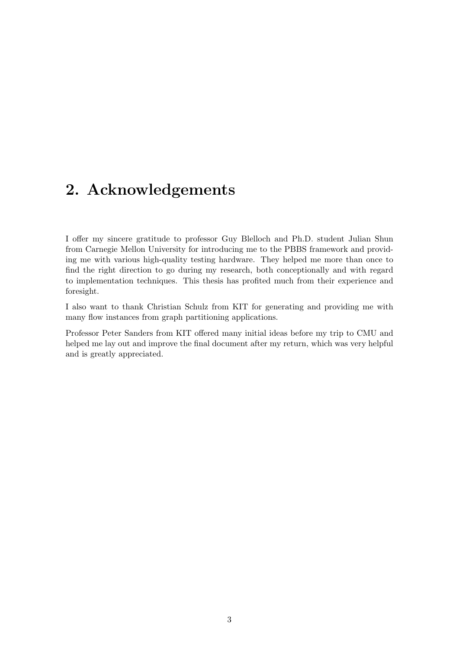# <span id="page-8-0"></span>2. Acknowledgements

I offer my sincere gratitude to professor Guy Blelloch and Ph.D. student Julian Shun from Carnegie Mellon University for introducing me to the PBBS framework and providing me with various high-quality testing hardware. They helped me more than once to find the right direction to go during my research, both conceptionally and with regard to implementation techniques. This thesis has profited much from their experience and foresight.

I also want to thank Christian Schulz from KIT for generating and providing me with many flow instances from graph partitioning applications.

Professor Peter Sanders from KIT offered many initial ideas before my trip to CMU and helped me lay out and improve the final document after my return, which was very helpful and is greatly appreciated.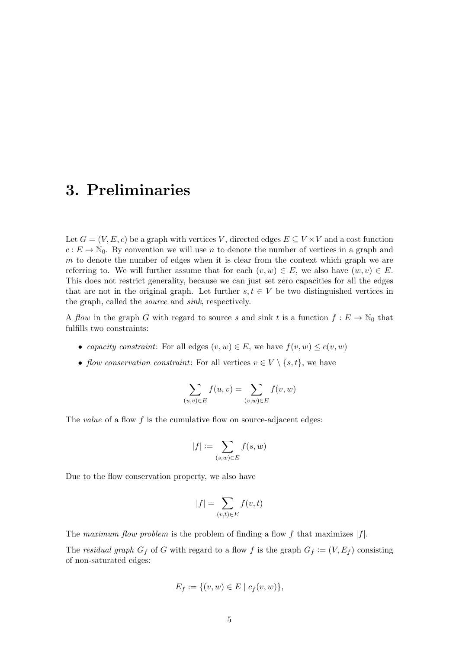## <span id="page-10-0"></span>3. Preliminaries

Let  $G = (V, E, c)$  be a graph with vertices V, directed edges  $E \subseteq V \times V$  and a cost function  $c: E \to \mathbb{N}_0$ . By convention we will use n to denote the number of vertices in a graph and m to denote the number of edges when it is clear from the context which graph we are referring to. We will further assume that for each  $(v, w) \in E$ , we also have  $(w, v) \in E$ . This does not restrict generality, because we can just set zero capacities for all the edges that are not in the original graph. Let further  $s, t \in V$  be two distinguished vertices in the graph, called the source and sink, respectively.

A flow in the graph G with regard to source s and sink t is a function  $f: E \to \mathbb{N}_0$  that fulfills two constraints:

- capacity constraint: For all edges  $(v, w) \in E$ , we have  $f(v, w) \leq c(v, w)$
- flow conservation constraint: For all vertices  $v \in V \setminus \{s, t\}$ , we have

$$
\sum_{(u,v)\in E} f(u,v) = \sum_{(v,w)\in E} f(v,w)
$$

The *value* of a flow  $f$  is the cumulative flow on source-adjacent edges:

$$
|f| := \sum_{(s,w)\in E} f(s,w)
$$

Due to the flow conservation property, we also have

$$
|f| = \sum_{(v,t) \in E} f(v,t)
$$

The maximum flow problem is the problem of finding a flow f that maximizes  $|f|$ .

The residual graph  $G_f$  of G with regard to a flow f is the graph  $G_f := (V, E_f)$  consisting of non-saturated edges:

$$
E_f := \{ (v, w) \in E \mid c_f(v, w) \},
$$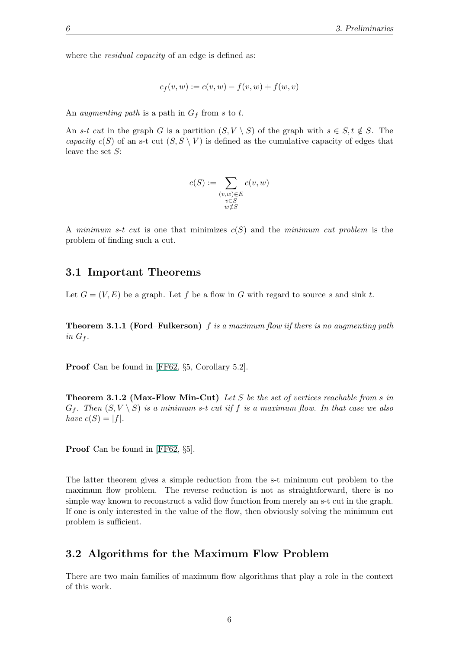where the *residual capacity* of an edge is defined as:

$$
c_f(v, w) := c(v, w) - f(v, w) + f(w, v)
$$

An *augmenting path* is a path in  $G_f$  from s to t.

An s-t cut in the graph G is a partition  $(S, V \setminus S)$  of the graph with  $s \in S, t \notin S$ . The capacity  $c(S)$  of an s-t cut  $(S, S \setminus V)$  is defined as the cumulative capacity of edges that leave the set  $S$ :

$$
c(S) := \sum_{\substack{(v,w)\in E\\v\in S\\w\notin S}} c(v,w)
$$

A minimum s-t cut is one that minimizes  $c(S)$  and the minimum cut problem is the problem of finding such a cut.

#### <span id="page-11-0"></span>3.1 Important Theorems

<span id="page-11-2"></span>Let  $G = (V, E)$  be a graph. Let f be a flow in G with regard to source s and sink t.

**Theorem 3.1.1 (Ford–Fulkerson)**  $f$  is a maximum flow iif there is no augmenting path in  $G_f$ .

Proof Can be found in [\[FF62,](#page-50-1) §5, Corollary 5.2].

**Theorem 3.1.2 (Max-Flow Min-Cut)** Let S be the set of vertices reachable from s in  $G_f$ . Then  $(S, V \setminus S)$  is a minimum s-t cut iif f is a maximum flow. In that case we also have  $c(S) = |f|$ .

Proof Can be found in [\[FF62,](#page-50-1) §5].

The latter theorem gives a simple reduction from the s-t minimum cut problem to the maximum flow problem. The reverse reduction is not as straightforward, there is no simple way known to reconstruct a valid flow function from merely an s-t cut in the graph. If one is only interested in the value of the flow, then obviously solving the minimum cut problem is sufficient.

#### <span id="page-11-1"></span>3.2 Algorithms for the Maximum Flow Problem

There are two main families of maximum flow algorithms that play a role in the context of this work.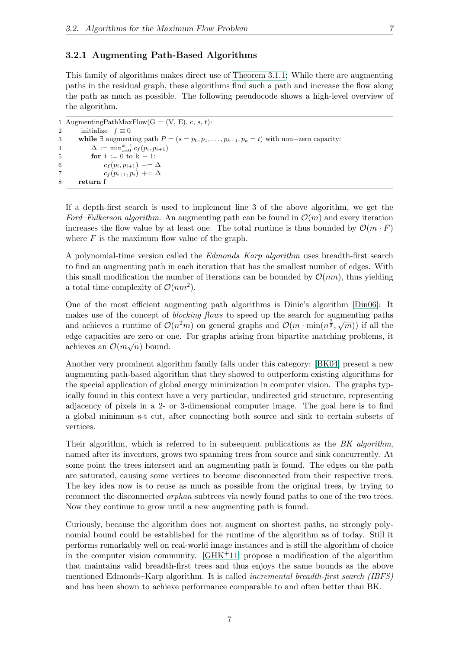#### <span id="page-12-0"></span>3.2.1 Augmenting Path-Based Algorithms

This family of algorithms makes direct use of [Theorem 3.1.1:](#page-11-2) While there are augmenting paths in the residual graph, these algorithms find such a path and increase the flow along the path as much as possible. The following pseudocode shows a high-level overview of the algorithm.

```
1 AugmentingPathMaxFlow(G = (V, E), c, s, t):
2 initialize f \equiv 03 while ∃ augmenting path P = (s = p_0, p_1, \ldots, p_{k-1}, p_k = t) with non-zero capacity:
4 \Delta := \min_{i=0}^{k-1} c_f(p_i, p_{i+1})5 for i := 0 to k - 1:
6 c_f(p_i, p_{i+1}) - = \Delta7 c_f(p_{i+1}, p_i) += \Delta8 return f
```
If a depth-first search is used to implement line 3 of the above algorithm, we get the Ford–Fulkerson algorithm. An augmenting path can be found in  $\mathcal{O}(m)$  and every iteration increases the flow value by at least one. The total runtime is thus bounded by  $\mathcal{O}(m \cdot F)$ where  $F$  is the maximum flow value of the graph.

A polynomial-time version called the *Edmonds–Karp algorithm* uses breadth-first search to find an augmenting path in each iteration that has the smallest number of edges. With this small modification the number of iterations can be bounded by  $\mathcal{O}(nm)$ , thus yielding a total time complexity of  $\mathcal{O}(nm^2)$ .

One of the most efficient augmenting path algorithms is Dinic's algorithm [\[Din06\]](#page-50-2): It makes use of the concept of *blocking flows* to speed up the search for augmenting paths makes use of the concept of *olocating flows* to speed up the search for algementing paths<br>and achieves a runtime of  $\mathcal{O}(n^2m)$  on general graphs and  $\mathcal{O}(m \cdot \min(n^{\frac{2}{3}}, \sqrt{m}))$  if all the edge capacities are zero or one. For graphs arising from bipartite matching problems, it achieves an  $\mathcal{O}(m\sqrt{n})$  bound.

Another very prominent algorithm family falls under this category: [\[BK04\]](#page-50-3) present a new augmenting path-based algorithm that they showed to outperform existing algorithms for the special application of global energy minimization in computer vision. The graphs typically found in this context have a very particular, undirected grid structure, representing adjacency of pixels in a 2- or 3-dimensional computer image. The goal here is to find a global minimum s-t cut, after connecting both source and sink to certain subsets of vertices.

Their algorithm, which is referred to in subsequent publications as the  $BK$  algorithm, named after its inventors, grows two spanning trees from source and sink concurrently. At some point the trees intersect and an augmenting path is found. The edges on the path are saturated, causing some vertices to become disconnected from their respective trees. The key idea now is to reuse as much as possible from the original trees, by trying to reconnect the disconnected *orphan* subtrees via newly found paths to one of the two trees. Now they continue to grow until a new augmenting path is found.

Curiously, because the algorithm does not augment on shortest paths, no strongly polynomial bound could be established for the runtime of the algorithm as of today. Still it performs remarkably well on real-world image instances and is still the algorithm of choice in the computer vision community.  $\left[\frac{GHK+11}{GHK+11}\right]$  propose a modification of the algorithm that maintains valid breadth-first trees and thus enjoys the same bounds as the above mentioned Edmonds–Karp algorithm. It is called *incremental breadth-first search (IBFS)* and has been shown to achieve performance comparable to and often better than BK.

7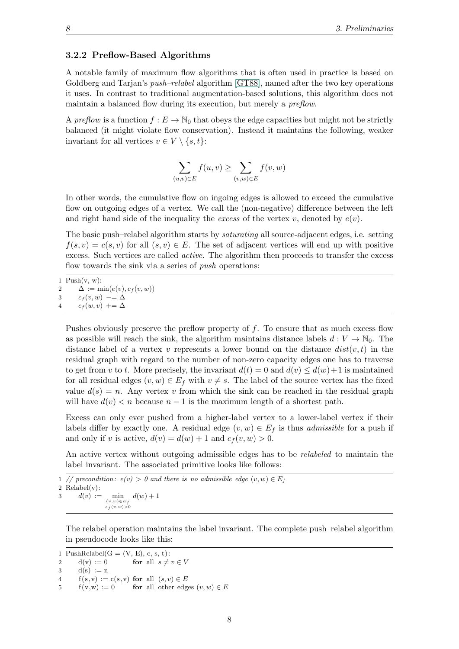#### <span id="page-13-0"></span>3.2.2 Preflow-Based Algorithms

A notable family of maximum flow algorithms that is often used in practice is based on Goldberg and Tarjan's *push–relabel* algorithm [\[GT88\]](#page-51-1), named after the two key operations it uses. In contrast to traditional augmentation-based solutions, this algorithm does not maintain a balanced flow during its execution, but merely a *preflow*.

A preflow is a function  $f: E \to \mathbb{N}_0$  that obeys the edge capacities but might not be strictly balanced (it might violate flow conservation). Instead it maintains the following, weaker invariant for all vertices  $v \in V \setminus \{s, t\}$ :

$$
\sum_{(u,v)\in E} f(u,v) \ge \sum_{(v,w)\in E} f(v,w)
$$

In other words, the cumulative flow on ingoing edges is allowed to exceed the cumulative flow on outgoing edges of a vertex. We call the (non-negative) difference between the left and right hand side of the inequality the excess of the vertex v, denoted by  $e(v)$ .

The basic push–relabel algorithm starts by saturating all source-adjacent edges, i.e. setting  $f(s, v) = c(s, v)$  for all  $(s, v) \in E$ . The set of adjacent vertices will end up with positive excess. Such vertices are called *active*. The algorithm then proceeds to transfer the excess flow towards the sink via a series of *push* operations:

 $Push(v, w)$ :  $\Delta := \min(e(v), c_f(v, w))$  $c_f(v, w) = \Delta$  $c_f(w, v)$  +=  $\Delta$ 

Pushes obviously preserve the preflow property of f. To ensure that as much excess flow as possible will reach the sink, the algorithm maintains distance labels  $d: V \to \mathbb{N}_0$ . The distance label of a vertex v represents a lower bound on the distance  $dist(v, t)$  in the residual graph with regard to the number of non-zero capacity edges one has to traverse to get from v to t. More precisely, the invariant  $d(t) = 0$  and  $d(v) \leq d(w) + 1$  is maintained for all residual edges  $(v, w) \in E_f$  with  $v \neq s$ . The label of the source vertex has the fixed value  $d(s) = n$ . Any vertex v from which the sink can be reached in the residual graph will have  $d(v) < n$  because  $n-1$  is the maximum length of a shortest path.

Excess can only ever pushed from a higher-label vertex to a lower-label vertex if their labels differ by exactly one. A residual edge  $(v, w) \in E_f$  is thus *admissible* for a push if and only if v is active,  $d(v) = d(w) + 1$  and  $c_f(v, w) > 0$ .

An active vertex without outgoing admissible edges has to be *relabeled* to maintain the label invariant. The associated primitive looks like follows:

1 // precondition:  $e(v) > 0$  and there is no admissible edge  $(v, w) \in E_f$ 2 Relabel(v): 3  $d(v) :=$  $d(w) + 1$ 

 $\begin{array}{l} (v,w)\!\in\! E_f\\ c_f\!\left(v,w\right)\!>\!0 \end{array}$ 

The relabel operation maintains the label invariant. The complete push–relabel algorithm in pseudocode looks like this:

1 PushRelabel $(G = (V, E), c, s, t)$ : 2 d(v) := 0 for all  $s \neq v \in V$  $3 \text{ d}(s) := n$ 4  $f(s, v) := c(s, v)$  for all  $(s, v) \in E$ 5  $f(v,w) := 0$  for all other edges  $(v, w) \in E$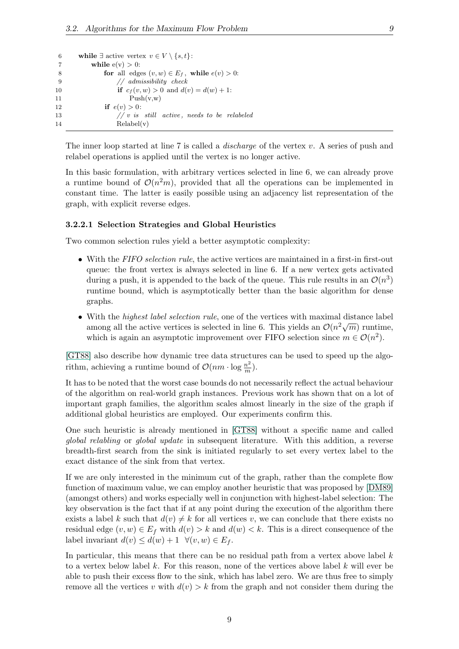```
6 while \exists active vertex v \in V \setminus \{s, t\}:
7 while e(v) > 0:
8 for all edges (v, w) \in E_f, while e(v) > 0:
9 // admissibility check
10 if c_f(v, w) > 0 and d(v) = d(w) + 1:
11 \text{Push}(v, w)12 if e(v) > 0:
13 \frac{1}{2} // v is still active, needs to be relabeled
14 Relabel(v)
```
The inner loop started at line  $7$  is called a *discharge* of the vertex  $v$ . A series of push and relabel operations is applied until the vertex is no longer active.

In this basic formulation, with arbitrary vertices selected in line 6, we can already prove a runtime bound of  $\mathcal{O}(n^2m)$ , provided that all the operations can be implemented in constant time. The latter is easily possible using an adjacency list representation of the graph, with explicit reverse edges.

#### <span id="page-14-0"></span>3.2.2.1 Selection Strategies and Global Heuristics

Two common selection rules yield a better asymptotic complexity:

- With the  $FIFO\, selection\, rule$ , the active vertices are maintained in a first-in first-out queue: the front vertex is always selected in line 6. If a new vertex gets activated during a push, it is appended to the back of the queue. This rule results in an  $\mathcal{O}(n^3)$ runtime bound, which is asymptotically better than the basic algorithm for dense graphs.
- With the *highest label selection rule*, one of the vertices with maximal distance label which the *highest label selection rate*, one of the vertices with maximal distance fabel<br>among all the active vertices is selected in line 6. This yields an  $\mathcal{O}(n^2\sqrt{m})$  runtime, which is again an asymptotic improvement over FIFO selection since  $m \in \mathcal{O}(n^2)$ .

[\[GT88\]](#page-51-1) also describe how dynamic tree data structures can be used to speed up the algorithm, achieving a runtime bound of  $\mathcal{O}(nm \cdot \log \frac{n^2}{m})$  $\frac{n^2}{m}).$ 

It has to be noted that the worst case bounds do not necessarily reflect the actual behaviour of the algorithm on real-world graph instances. Previous work has shown that on a lot of important graph families, the algorithm scales almost linearly in the size of the graph if additional global heuristics are employed. Our experiments confirm this.

One such heuristic is already mentioned in [\[GT88\]](#page-51-1) without a specific name and called global relabling or global update in subsequent literature. With this addition, a reverse breadth-first search from the sink is initiated regularly to set every vertex label to the exact distance of the sink from that vertex.

If we are only interested in the minimum cut of the graph, rather than the complete flow function of maximum value, we can employ another heuristic that was proposed by [\[DM89\]](#page-50-4) (amongst others) and works especially well in conjunction with highest-label selection: The key observation is the fact that if at any point during the execution of the algorithm there exists a label k such that  $d(v) \neq k$  for all vertices v, we can conclude that there exists no residual edge  $(v, w) \in E_f$  with  $d(v) > k$  and  $d(w) < k$ . This is a direct consequence of the label invariant  $d(v) \leq d(w) + 1 \ \forall (v, w) \in E_f$ .

In particular, this means that there can be no residual path from a vertex above label  $k$ to a vertex below label k. For this reason, none of the vertices above label k will ever be able to push their excess flow to the sink, which has label zero. We are thus free to simply remove all the vertices v with  $d(v) > k$  from the graph and not consider them during the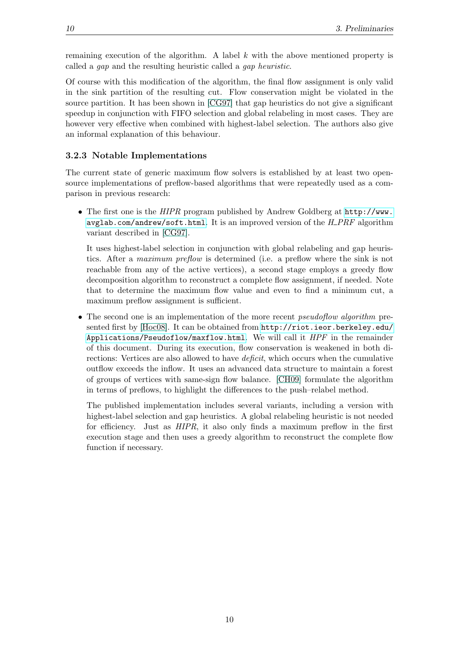remaining execution of the algorithm. A label  $k$  with the above mentioned property is called a gap and the resulting heuristic called a gap heuristic.

Of course with this modification of the algorithm, the final flow assignment is only valid in the sink partition of the resulting cut. Flow conservation might be violated in the source partition. It has been shown in [\[CG97\]](#page-50-5) that gap heuristics do not give a significant speedup in conjunction with FIFO selection and global relabeling in most cases. They are however very effective when combined with highest-label selection. The authors also give an informal explanation of this behaviour.

#### <span id="page-15-0"></span>3.2.3 Notable Implementations

The current state of generic maximum flow solvers is established by at least two opensource implementations of preflow-based algorithms that were repeatedly used as a comparison in previous research:

• The first one is the HIPR program published by Andrew Goldberg at [http://www.](http://www.avglab.com/andrew/soft.html)  $avglab.com/andrew/soft.html$ . It is an improved version of the  $H\_PRF$  algorithm variant described in [\[CG97\]](#page-50-5).

It uses highest-label selection in conjunction with global relabeling and gap heuristics. After a maximum preflow is determined (i.e. a preflow where the sink is not reachable from any of the active vertices), a second stage employs a greedy flow decomposition algorithm to reconstruct a complete flow assignment, if needed. Note that to determine the maximum flow value and even to find a minimum cut, a maximum preflow assignment is sufficient.

• The second one is an implementation of the more recent *pseudoflow algorithm* presented first by [\[Hoc08\]](#page-51-2). It can be obtained from [http://riot.ieor.berkeley.edu/](http://riot.ieor.berkeley.edu/Applications/Pseudoflow/maxflow.html) [Applications/Pseudoflow/maxflow.html](http://riot.ieor.berkeley.edu/Applications/Pseudoflow/maxflow.html). We will call it HPF in the remainder of this document. During its execution, flow conservation is weakened in both directions: Vertices are also allowed to have deficit, which occurs when the cumulative outflow exceeds the inflow. It uses an advanced data structure to maintain a forest of groups of vertices with same-sign flow balance. [\[CH09\]](#page-50-6) formulate the algorithm in terms of preflows, to highlight the differences to the push–relabel method.

The published implementation includes several variants, including a version with highest-label selection and gap heuristics. A global relabeling heuristic is not needed for efficiency. Just as HIPR, it also only finds a maximum preflow in the first execution stage and then uses a greedy algorithm to reconstruct the complete flow function if necessary.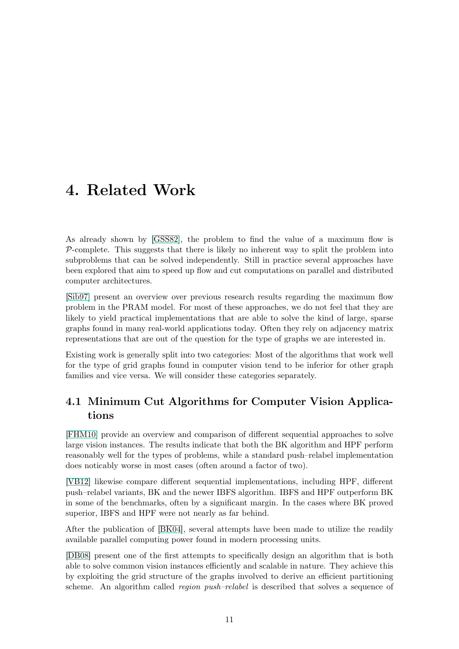## <span id="page-16-0"></span>4. Related Work

As already shown by [\[GSS82\]](#page-51-3), the problem to find the value of a maximum flow is  $P$ -complete. This suggests that there is likely no inherent way to split the problem into subproblems that can be solved independently. Still in practice several approaches have been explored that aim to speed up flow and cut computations on parallel and distributed computer architectures.

[\[Sib97\]](#page-52-0) present an overview over previous research results regarding the maximum flow problem in the PRAM model. For most of these approaches, we do not feel that they are likely to yield practical implementations that are able to solve the kind of large, sparse graphs found in many real-world applications today. Often they rely on adjacency matrix representations that are out of the question for the type of graphs we are interested in.

Existing work is generally split into two categories: Most of the algorithms that work well for the type of grid graphs found in computer vision tend to be inferior for other graph families and vice versa. We will consider these categories separately.

## <span id="page-16-1"></span>4.1 Minimum Cut Algorithms for Computer Vision Applications

[\[FHM10\]](#page-51-4) provide an overview and comparison of different sequential approaches to solve large vision instances. The results indicate that both the BK algorithm and HPF perform reasonably well for the types of problems, while a standard push–relabel implementation does noticably worse in most cases (often around a factor of two).

[\[VB12\]](#page-53-0) likewise compare different sequential implementations, including HPF, different push–relabel variants, BK and the newer IBFS algorithm. IBFS and HPF outperform BK in some of the benchmarks, often by a significant margin. In the cases where BK proved superior, IBFS and HPF were not nearly as far behind.

After the publication of [\[BK04\]](#page-50-3), several attempts have been made to utilize the readily available parallel computing power found in modern processing units.

[\[DB08\]](#page-50-7) present one of the first attempts to specifically design an algorithm that is both able to solve common vision instances efficiently and scalable in nature. They achieve this by exploiting the grid structure of the graphs involved to derive an efficient partitioning scheme. An algorithm called *region push–relabel* is described that solves a sequence of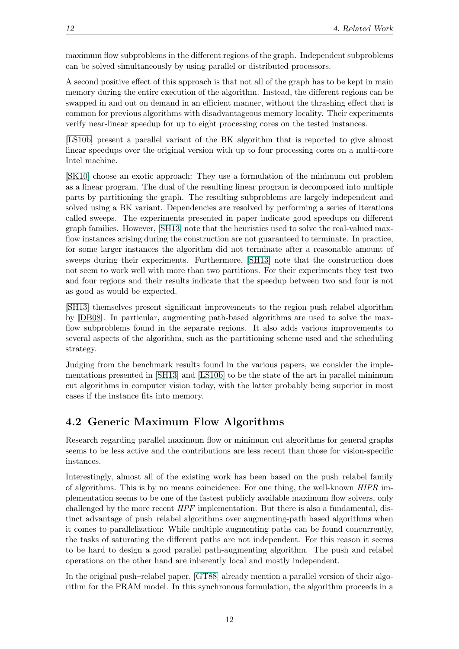maximum flow subproblems in the different regions of the graph. Independent subproblems can be solved simultaneously by using parallel or distributed processors.

A second positive effect of this approach is that not all of the graph has to be kept in main memory during the entire execution of the algorithm. Instead, the different regions can be swapped in and out on demand in an efficient manner, without the thrashing effect that is common for previous algorithms with disadvantageous memory locality. Their experiments verify near-linear speedup for up to eight processing cores on the tested instances.

[\[LS10b\]](#page-52-1) present a parallel variant of the BK algorithm that is reported to give almost linear speedups over the original version with up to four processing cores on a multi-core Intel machine.

[\[SK10\]](#page-52-2) choose an exotic approach: They use a formulation of the minimum cut problem as a linear program. The dual of the resulting linear program is decomposed into multiple parts by partitioning the graph. The resulting subproblems are largely independent and solved using a BK variant. Dependencies are resolved by performing a series of iterations called sweeps. The experiments presented in paper indicate good speedups on different graph families. However, [\[SH13\]](#page-52-3) note that the heuristics used to solve the real-valued maxflow instances arising during the construction are not guaranteed to terminate. In practice, for some larger instances the algorithm did not terminate after a reasonable amount of sweeps during their experiments. Furthermore, [\[SH13\]](#page-52-3) note that the construction does not seem to work well with more than two partitions. For their experiments they test two and four regions and their results indicate that the speedup between two and four is not as good as would be expected.

[\[SH13\]](#page-52-3) themselves present significant improvements to the region push relabel algorithm by [\[DB08\]](#page-50-7). In particular, augmenting path-based algorithms are used to solve the maxflow subproblems found in the separate regions. It also adds various improvements to several aspects of the algorithm, such as the partitioning scheme used and the scheduling strategy.

Judging from the benchmark results found in the various papers, we consider the implementations presented in [\[SH13\]](#page-52-3) and [\[LS10b\]](#page-52-1) to be the state of the art in parallel minimum cut algorithms in computer vision today, with the latter probably being superior in most cases if the instance fits into memory.

## <span id="page-17-0"></span>4.2 Generic Maximum Flow Algorithms

Research regarding parallel maximum flow or minimum cut algorithms for general graphs seems to be less active and the contributions are less recent than those for vision-specific instances.

Interestingly, almost all of the existing work has been based on the push–relabel family of algorithms. This is by no means coincidence: For one thing, the well-known HIPR implementation seems to be one of the fastest publicly available maximum flow solvers, only challenged by the more recent  $HPF$  implementation. But there is also a fundamental, distinct advantage of push–relabel algorithms over augmenting-path based algorithms when it comes to parallelization: While multiple augmenting paths can be found concurrently, the tasks of saturating the different paths are not independent. For this reason it seems to be hard to design a good parallel path-augmenting algorithm. The push and relabel operations on the other hand are inherently local and mostly independent.

In the original push–relabel paper, [\[GT88\]](#page-51-1) already mention a parallel version of their algorithm for the PRAM model. In this synchronous formulation, the algorithm proceeds in a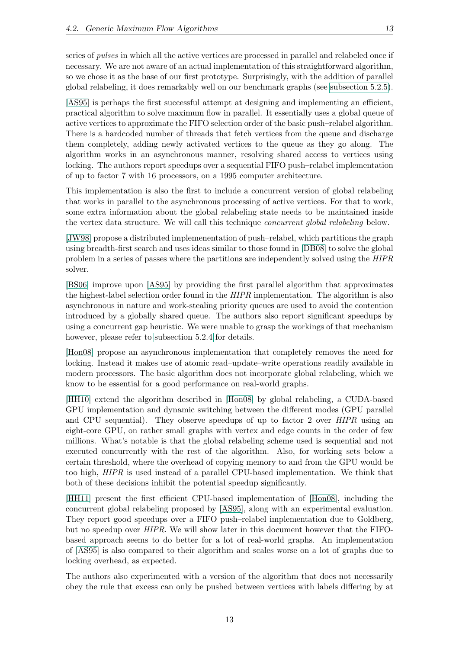series of pulses in which all the active vertices are processed in parallel and relabeled once if necessary. We are not aware of an actual implementation of this straightforward algorithm, so we chose it as the base of our first prototype. Surprisingly, with the addition of parallel global relabeling, it does remarkably well on our benchmark graphs (see [subsection 5.2.5\)](#page-26-1).

[\[AS95\]](#page-50-8) is perhaps the first successful attempt at designing and implementing an efficient, practical algorithm to solve maximum flow in parallel. It essentially uses a global queue of active vertices to approximate the FIFO selection order of the basic push–relabel algorithm. There is a hardcoded number of threads that fetch vertices from the queue and discharge them completely, adding newly activated vertices to the queue as they go along. The algorithm works in an asynchronous manner, resolving shared access to vertices using locking. The authors report speedups over a sequential FIFO push–relabel implementation of up to factor 7 with 16 processors, on a 1995 computer architecture.

This implementation is also the first to include a concurrent version of global relabeling that works in parallel to the asynchronous processing of active vertices. For that to work, some extra information about the global relabeling state needs to be maintained inside the vertex data structure. We will call this technique concurrent global relabeling below.

[\[JW98\]](#page-52-4) propose a distributed implemenentation of push–relabel, which partitions the graph using breadth-first search and uses ideas similar to those found in [\[DB08\]](#page-50-7) to solve the global problem in a series of passes where the partitions are independently solved using the HIPR solver.

[\[BS06\]](#page-50-9) improve upon [\[AS95\]](#page-50-8) by providing the first parallel algorithm that approximates the highest-label selection order found in the HIPR implementation. The algorithm is also asynchronous in nature and work-stealing priority queues are used to avoid the contention introduced by a globally shared queue. The authors also report significant speedups by using a concurrent gap heuristic. We were unable to grasp the workings of that mechanism however, please refer to [subsection 5.2.4](#page-26-0) for details.

[\[Hon08\]](#page-51-5) propose an asynchronous implementation that completely removes the need for locking. Instead it makes use of atomic read–update–write operations readily available in modern processors. The basic algorithm does not incorporate global relabeling, which we know to be essential for a good performance on real-world graphs.

[\[HH10\]](#page-51-6) extend the algorithm described in [\[Hon08\]](#page-51-5) by global relabeling, a CUDA-based GPU implementation and dynamic switching between the different modes (GPU parallel and CPU sequential). They observe speedups of up to factor 2 over HIPR using an eight-core GPU, on rather small graphs with vertex and edge counts in the order of few millions. What's notable is that the global relabeling scheme used is sequential and not executed concurrently with the rest of the algorithm. Also, for working sets below a certain threshold, where the overhead of copying memory to and from the GPU would be too high, HIPR is used instead of a parallel CPU-based implementation. We think that both of these decisions inhibit the potential speedup significantly.

[\[HH11\]](#page-51-7) present the first efficient CPU-based implementation of [\[Hon08\]](#page-51-5), including the concurrent global relabeling proposed by [\[AS95\]](#page-50-8), along with an experimental evaluation. They report good speedups over a FIFO push–relabel implementation due to Goldberg, but no speedup over HIPR. We will show later in this document however that the FIFObased approach seems to do better for a lot of real-world graphs. An implementation of [\[AS95\]](#page-50-8) is also compared to their algorithm and scales worse on a lot of graphs due to locking overhead, as expected.

The authors also experimented with a version of the algorithm that does not necessarily obey the rule that excess can only be pushed between vertices with labels differing by at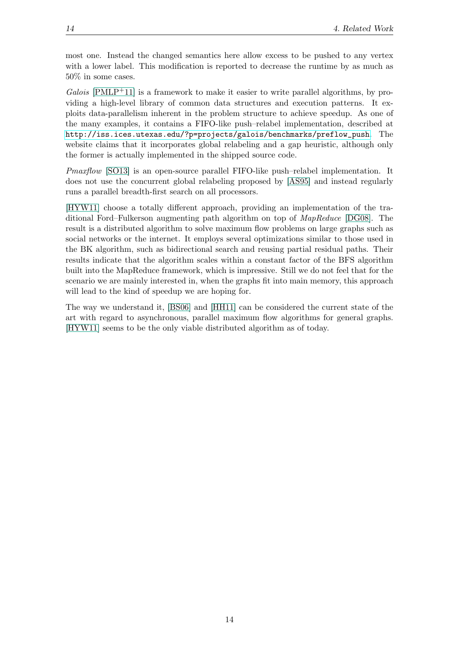most one. Instead the changed semantics here allow excess to be pushed to any vertex with a lower label. This modification is reported to decrease the runtime by as much as 50% in some cases.

 $Galois$  [\[PMLP](#page-52-5)<sup>+</sup>11] is a framework to make it easier to write parallel algorithms, by providing a high-level library of common data structures and execution patterns. It exploits data-parallelism inherent in the problem structure to achieve speedup. As one of the many examples, it contains a FIFO-like push–relabel implementation, described at [http://iss.ices.utexas.edu/?p=projects/galois/benchmarks/preflow\\_push](http://iss.ices.utexas.edu/?p=projects/galois/benchmarks/preflow_push). The website claims that it incorporates global relabeling and a gap heuristic, although only the former is actually implemented in the shipped source code.

Pmaxflow [\[SO13\]](#page-52-6) is an open-source parallel FIFO-like push–relabel implementation. It does not use the concurrent global relabeling proposed by [\[AS95\]](#page-50-8) and instead regularly runs a parallel breadth-first search on all processors.

[\[HYW11\]](#page-51-8) choose a totally different approach, providing an implementation of the traditional Ford–Fulkerson augmenting path algorithm on top of MapReduce [\[DG08\]](#page-50-10). The result is a distributed algorithm to solve maximum flow problems on large graphs such as social networks or the internet. It employs several optimizations similar to those used in the BK algorithm, such as bidirectional search and reusing partial residual paths. Their results indicate that the algorithm scales within a constant factor of the BFS algorithm built into the MapReduce framework, which is impressive. Still we do not feel that for the scenario we are mainly interested in, when the graphs fit into main memory, this approach will lead to the kind of speedup we are hoping for.

The way we understand it, [\[BS06\]](#page-50-9) and [\[HH11\]](#page-51-7) can be considered the current state of the art with regard to asynchronous, parallel maximum flow algorithms for general graphs. [\[HYW11\]](#page-51-8) seems to be the only viable distributed algorithm as of today.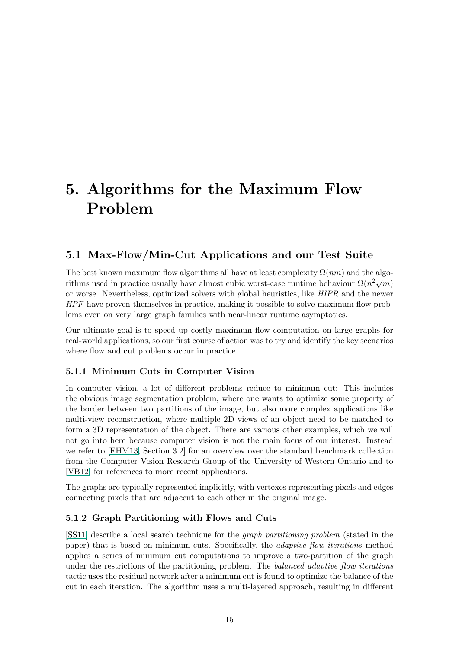# <span id="page-20-0"></span>5. Algorithms for the Maximum Flow Problem

## <span id="page-20-1"></span>5.1 Max-Flow/Min-Cut Applications and our Test Suite

The best known maximum flow algorithms all have at least complexity  $\Omega(nm)$  and the algo-The best known maximum now algorithms an have at least complexity  $\Omega(nh)$  and the algorithms used in practice usually have almost cubic worst-case runtime behaviour  $\Omega(n^2\sqrt{m})$ or worse. Nevertheless, optimized solvers with global heuristics, like HIPR and the newer HPF have proven themselves in practice, making it possible to solve maximum flow problems even on very large graph families with near-linear runtime asymptotics.

Our ultimate goal is to speed up costly maximum flow computation on large graphs for real-world applications, so our first course of action was to try and identify the key scenarios where flow and cut problems occur in practice.

#### <span id="page-20-2"></span>5.1.1 Minimum Cuts in Computer Vision

In computer vision, a lot of different problems reduce to minimum cut: This includes the obvious image segmentation problem, where one wants to optimize some property of the border between two partitions of the image, but also more complex applications like multi-view reconstruction, where multiple 2D views of an object need to be matched to form a 3D representation of the object. There are various other examples, which we will not go into here because computer vision is not the main focus of our interest. Instead we refer to [\[FHM13,](#page-51-9) Section 3.2] for an overview over the standard benchmark collection from the Computer Vision Research Group of the University of Western Ontario and to [\[VB12\]](#page-53-0) for references to more recent applications.

The graphs are typically represented implicitly, with vertexes representing pixels and edges connecting pixels that are adjacent to each other in the original image.

#### <span id="page-20-3"></span>5.1.2 Graph Partitioning with Flows and Cuts

[\[SS11\]](#page-52-7) describe a local search technique for the graph partitioning problem (stated in the paper) that is based on minimum cuts. Specifically, the adaptive flow iterations method applies a series of minimum cut computations to improve a two-partition of the graph under the restrictions of the partitioning problem. The *balanced adaptive flow iterations* tactic uses the residual network after a minimum cut is found to optimize the balance of the cut in each iteration. The algorithm uses a multi-layered approach, resulting in different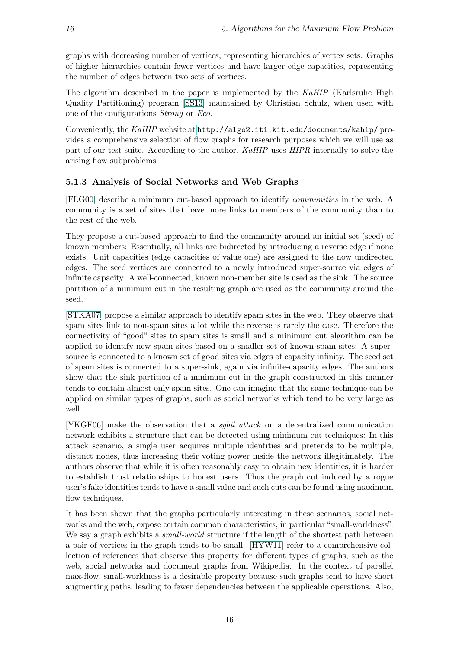graphs with decreasing number of vertices, representing hierarchies of vertex sets. Graphs of higher hierarchies contain fewer vertices and have larger edge capacities, representing the number of edges between two sets of vertices.

The algorithm described in the paper is implemented by the KaHIP (Karlsruhe High Quality Partitioning) program [\[SS13\]](#page-52-8) maintained by Christian Schulz, when used with one of the configurations Strong or Eco.

Conveniently, the KaHIP website at <http://algo2.iti.kit.edu/documents/kahip/> provides a comprehensive selection of flow graphs for research purposes which we will use as part of our test suite. According to the author, KaHIP uses HIPR internally to solve the arising flow subproblems.

#### <span id="page-21-0"></span>5.1.3 Analysis of Social Networks and Web Graphs

[\[FLG00\]](#page-51-10) describe a minimum cut-based approach to identify communities in the web. A community is a set of sites that have more links to members of the community than to the rest of the web.

They propose a cut-based approach to find the community around an initial set (seed) of known members: Essentially, all links are bidirected by introducing a reverse edge if none exists. Unit capacities (edge capacities of value one) are assigned to the now undirected edges. The seed vertices are connected to a newly introduced super-source via edges of infinite capacity. A well-connected, known non-member site is used as the sink. The source partition of a minimum cut in the resulting graph are used as the community around the seed.

[\[STKA07\]](#page-52-9) propose a similar approach to identify spam sites in the web. They observe that spam sites link to non-spam sites a lot while the reverse is rarely the case. Therefore the connectivity of "good" sites to spam sites is small and a minimum cut algorithm can be applied to identify new spam sites based on a smaller set of known spam sites: A supersource is connected to a known set of good sites via edges of capacity infinity. The seed set of spam sites is connected to a super-sink, again via infinite-capacity edges. The authors show that the sink partition of a minimum cut in the graph constructed in this manner tends to contain almost only spam sites. One can imagine that the same technique can be applied on similar types of graphs, such as social networks which tend to be very large as well.

[\[YKGF06\]](#page-53-1) make the observation that a sybil attack on a decentralized communication network exhibits a structure that can be detected using minimum cut techniques: In this attack scenario, a single user acquires multiple identities and pretends to be multiple, distinct nodes, thus increasing their voting power inside the network illegitimately. The authors observe that while it is often reasonably easy to obtain new identities, it is harder to establish trust relationships to honest users. Thus the graph cut induced by a rogue user's fake identities tends to have a small value and such cuts can be found using maximum flow techniques.

It has been shown that the graphs particularly interesting in these scenarios, social networks and the web, expose certain common characteristics, in particular "small-worldness". We say a graph exhibits a *small-world* structure if the length of the shortest path between a pair of vertices in the graph tends to be small. [\[HYW11\]](#page-51-8) refer to a comprehensive collection of references that observe this property for different types of graphs, such as the web, social networks and document graphs from Wikipedia. In the context of parallel max-flow, small-worldness is a desirable property because such graphs tend to have short augmenting paths, leading to fewer dependencies between the applicable operations. Also,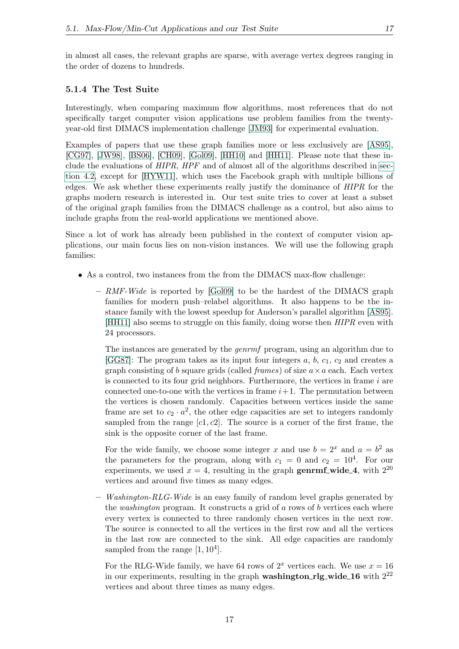in almost all cases, the relevant graphs are sparse, with average vertex degrees ranging in the order of dozens to hundreds.

#### <span id="page-22-0"></span>5.1.4 The Test Suite

Interestingly, when comparing maximum flow algorithms, most references that do not specifically target computer vision applications use problem families from the twentyyear-old first DIMACS implementation challenge [\[JM93\]](#page-51-11) for experimental evaluation.

Examples of papers that use these graph families more or less exclusively are [\[AS95\]](#page-50-8), [\[CG97\]](#page-50-5), [\[JW98\]](#page-52-4), [\[BS06\]](#page-50-9), [\[CH09\]](#page-50-6), [\[Gol09\]](#page-51-12), [\[HH10\]](#page-51-6) and [\[HH11\]](#page-51-7). Please note that these include the evaluations of  $HIPR$ ,  $HPF$  and of almost all of the algorithms described in [sec](#page-17-0)[tion 4.2,](#page-17-0) except for [\[HYW11\]](#page-51-8), which uses the Facebook graph with multiple billions of edges. We ask whether these experiments really justify the dominance of HIPR for the graphs modern research is interested in. Our test suite tries to cover at least a subset of the original graph families from the DIMACS challenge as a control, but also aims to include graphs from the real-world applications we mentioned above.

Since a lot of work has already been published in the context of computer vision applications, our main focus lies on non-vision instances. We will use the following graph families:

- As a control, two instances from the from the DIMACS max-flow challenge:
	- $-$  RMF-Wide is reported by [\[Gol09\]](#page-51-12) to be the hardest of the DIMACS graph families for modern push–relabel algorithms. It also happens to be the instance family with the lowest speedup for Anderson's parallel algorithm [\[AS95\]](#page-50-8). [\[HH11\]](#page-51-7) also seems to struggle on this family, doing worse then HIPR even with 24 processors.

The instances are generated by the genrmf program, using an algorithm due to [\[GG87\]](#page-51-13): The program takes as its input four integers  $a, b, c_1, c_2$  and creates a graph consisting of b square grids (called *frames*) of size  $a \times a$  each. Each vertex is connected to its four grid neighbors. Furthermore, the vertices in frame  $i$  are connected one-to-one with the vertices in frame  $i+1$ . The permutation between the vertices is chosen randomly. Capacities between vertices inside the same frame are set to  $c_2 \cdot a^2$ , the other edge capacities are set to integers randomly sampled from the range  $[c1, c2]$ . The source is a corner of the first frame, the sink is the opposite corner of the last frame.

For the wide family, we choose some integer x and use  $b = 2^x$  and  $a = b^2$  as the parameters for the program, along with  $c_1 = 0$  and  $c_2 = 10^4$ . For our experiments, we used  $x = 4$ , resulting in the graph genrmf wide 4, with  $2^{20}$ vertices and around five times as many edges.

 $-$  Washington-RLG-Wide is an easy family of random level graphs generated by the *washington* program. It constructs a grid of a rows of b vertices each where every vertex is connected to three randomly chosen vertices in the next row. The source is connected to all the vertices in the first row and all the vertices in the last row are connected to the sink. All edge capacities are randomly sampled from the range  $[1, 10^4]$ .

For the RLG-Wide family, we have 64 rows of  $2^x$  vertices each. We use  $x = 16$ in our experiments, resulting in the graph **washington** rlg wide 16 with  $2^{22}$ vertices and about three times as many edges.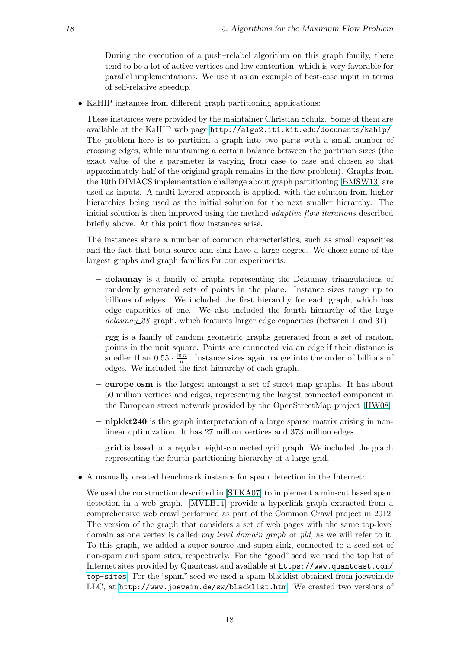During the execution of a push–relabel algorithm on this graph family, there tend to be a lot of active vertices and low contention, which is very favorable for parallel implementations. We use it as an example of best-case input in terms of self-relative speedup.

• KaHIP instances from different graph partitioning applications:

These instances were provided by the maintainer Christian Schulz. Some of them are available at the KaHIP web page <http://algo2.iti.kit.edu/documents/kahip/>. The problem here is to partition a graph into two parts with a small number of crossing edges, while maintaining a certain balance between the partition sizes (the exact value of the  $\epsilon$  parameter is varying from case to case and chosen so that approximately half of the original graph remains in the flow problem). Graphs from the 10th DIMACS implementation challenge about graph partitioning [\[BMSW13\]](#page-50-11) are used as inputs. A multi-layered approach is applied, with the solution from higher hierarchies being used as the initial solution for the next smaller hierarchy. The initial solution is then improved using the method adaptive flow iterations described briefly above. At this point flow instances arise.

The instances share a number of common characteristics, such as small capacities and the fact that both source and sink have a large degree. We chose some of the largest graphs and graph families for our experiments:

- delaunay is a family of graphs representing the Delaunay triangulations of randomly generated sets of points in the plane. Instance sizes range up to billions of edges. We included the first hierarchy for each graph, which has edge capacities of one. We also included the fourth hierarchy of the large delaunay 28 graph, which features larger edge capacities (between 1 and 31).
- rgg is a family of random geometric graphs generated from a set of random points in the unit square. Points are connected via an edge if their distance is smaller than  $0.55 \cdot \frac{\ln n}{n}$ . Instance sizes again range into the order of billions of edges. We included the first hierarchy of each graph.
- europe.osm is the largest amongst a set of street map graphs. It has about 50 million vertices and edges, representing the largest connected component in the European street network provided by the OpenStreetMap project [\[HW08\]](#page-51-14).
- nlpkkt240 is the graph interpretation of a large sparse matrix arising in nonlinear optimization. It has 27 million vertices and 373 million edges.
- grid is based on a regular, eight-connected grid graph. We included the graph representing the fourth partitioning hierarchy of a large grid.
- A manually created benchmark instance for spam detection in the Internet:

We used the construction described in [\[STKA07\]](#page-52-9) to implement a min-cut based spam detection in a web graph. [\[MVLB14\]](#page-52-10) provide a hyperlink graph extracted from a comprehensive web crawl performed as part of the Common Crawl project in 2012. The version of the graph that considers a set of web pages with the same top-level domain as one vertex is called pay level domain graph or pld, as we will refer to it. To this graph, we added a super-source and super-sink, connected to a seed set of non-spam and spam sites, respectively. For the "good" seed we used the top list of Internet sites provided by Quantcast and available at [https://www.quantcast.com/](https://www.quantcast.com/top-sites) [top-sites](https://www.quantcast.com/top-sites). For the "spam" seed we used a spam blacklist obtained from joewein.de LLC, at <http://www.joewein.de/sw/blacklist.htm>. We created two versions of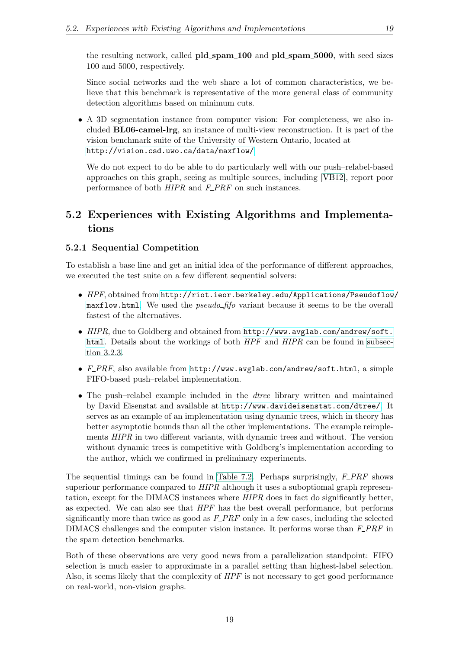the resulting network, called **pld\_spam\_100** and **pld\_spam\_5000**, with seed sizes 100 and 5000, respectively.

Since social networks and the web share a lot of common characteristics, we believe that this benchmark is representative of the more general class of community detection algorithms based on minimum cuts.

• A 3D segmentation instance from computer vision: For completeness, we also included BL06-camel-lrg, an instance of multi-view reconstruction. It is part of the vision benchmark suite of the University of Western Ontario, located at <http://vision.csd.uwo.ca/data/maxflow/>

We do not expect to do be able to do particularly well with our push–relabel-based approaches on this graph, seeing as multiple sources, including [\[VB12\]](#page-53-0), report poor performance of both  $HIPR$  and  $F\_PRF$  on such instances.

## <span id="page-24-0"></span>5.2 Experiences with Existing Algorithms and Implementations

#### <span id="page-24-1"></span>5.2.1 Sequential Competition

To establish a base line and get an initial idea of the performance of different approaches, we executed the test suite on a few different sequential solvers:

- HPF, obtained from [http://riot.ieor.berkeley.edu/Applications/Pseudoflow](http://riot.ieor.berkeley.edu/Applications/Pseudoflow/maxflow.html)/ [maxflow.html](http://riot.ieor.berkeley.edu/Applications/Pseudoflow/maxflow.html). We used the *pseudo\_fifo* variant because it seems to be the overall fastest of the alternatives.
- HIPR, due to Goldberg and obtained from [http://www.avglab.com/andrew/soft.](http://www.avglab.com/andrew/soft.html) [html](http://www.avglab.com/andrew/soft.html). Details about the workings of both  $HPF$  and  $HIPR$  can be found in [subsec](#page-15-0)[tion 3.2.3.](#page-15-0)
- $F\_PRF$ , also available from  $http://www.avglab.com/andrew/soft.html, a simple$  $http://www.avglab.com/andrew/soft.html, a simple$ FIFO-based push–relabel implementation.
- The push-relabel example included in the *dtree* library written and maintained by David Eisenstat and available at <http://www.davideisenstat.com/dtree/>. It serves as an example of an implementation using dynamic trees, which in theory has better asymptotic bounds than all the other implementations. The example reimplements HIPR in two different variants, with dynamic trees and without. The version without dynamic trees is competitive with Goldberg's implementation according to the author, which we confirmed in preliminary experiments.

The sequential timings can be found in [Table 7.2.](#page-44-0) Perhaps surprisingly,  $F\_PRF$  shows superiour performance compared to  $HIPR$  although it uses a suboptiomal graph representation, except for the DIMACS instances where HIPR does in fact do significantly better, as expected. We can also see that HPF has the best overall performance, but performs significantly more than twice as good as  $F\_PRF$  only in a few cases, including the selected DIMACS challenges and the computer vision instance. It performs worse than  $F\_PRF$  in the spam detection benchmarks.

Both of these observations are very good news from a parallelization standpoint: FIFO selection is much easier to approximate in a parallel setting than highest-label selection. Also, it seems likely that the complexity of  $HPF$  is not necessary to get good performance on real-world, non-vision graphs.

19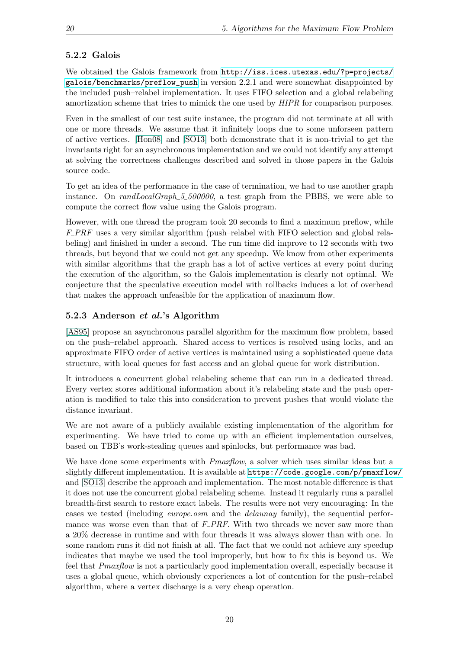#### <span id="page-25-0"></span>5.2.2 Galois

We obtained the Galois framework from [http://iss.ices.utexas.edu/?p=projects/](http://iss.ices.utexas.edu/?p=projects/galois/benchmarks/preflow_push) [galois/benchmarks/preflow\\_push](http://iss.ices.utexas.edu/?p=projects/galois/benchmarks/preflow_push) in version 2.2.1 and were somewhat disappointed by the included push–relabel implementation. It uses FIFO selection and a global relabeling amortization scheme that tries to mimick the one used by  $HIPR$  for comparison purposes.

Even in the smallest of our test suite instance, the program did not terminate at all with one or more threads. We assume that it infinitely loops due to some unforseen pattern of active vertices. [\[Hon08\]](#page-51-5) and [\[SO13\]](#page-52-6) both demonstrate that it is non-trivial to get the invariants right for an asynchronous implementation and we could not identify any attempt at solving the correctness challenges described and solved in those papers in the Galois source code.

To get an idea of the performance in the case of termination, we had to use another graph instance. On  $randLocalGraph_5500000$ , a test graph from the PBBS, we were able to compute the correct flow value using the Galois program.

However, with one thread the program took 20 seconds to find a maximum preflow, while  $F\_PRF$  uses a very similar algorithm (push-relabel with FIFO selection and global relabeling) and finished in under a second. The run time did improve to 12 seconds with two threads, but beyond that we could not get any speedup. We know from other experiments with similar algorithms that the graph has a lot of active vertices at every point during the execution of the algorithm, so the Galois implementation is clearly not optimal. We conjecture that the speculative execution model with rollbacks induces a lot of overhead that makes the approach unfeasible for the application of maximum flow.

#### <span id="page-25-1"></span>5.2.3 Anderson et al.'s Algorithm

[\[AS95\]](#page-50-8) propose an asynchronous parallel algorithm for the maximum flow problem, based on the push–relabel approach. Shared access to vertices is resolved using locks, and an approximate FIFO order of active vertices is maintained using a sophisticated queue data structure, with local queues for fast access and an global queue for work distribution.

It introduces a concurrent global relabeling scheme that can run in a dedicated thread. Every vertex stores additional information about it's relabeling state and the push operation is modified to take this into consideration to prevent pushes that would violate the distance invariant.

We are not aware of a publicly available existing implementation of the algorithm for experimenting. We have tried to come up with an efficient implementation ourselves, based on TBB's work-stealing queues and spinlocks, but performance was bad.

We have done some experiments with  $Pmaxflow$ , a solver which uses similar ideas but a slightly different implementation. It is available at <https://code.google.com/p/pmaxflow/> and [\[SO13\]](#page-52-6) describe the approach and implementation. The most notable difference is that it does not use the concurrent global relabeling scheme. Instead it regularly runs a parallel breadth-first search to restore exact labels. The results were not very encouraging: In the cases we tested (including europe.osm and the delaunay family), the sequential performance was worse even than that of  $F\_PRF$ . With two threads we never saw more than a 20% decrease in runtime and with four threads it was always slower than with one. In some random runs it did not finish at all. The fact that we could not achieve any speedup indicates that maybe we used the tool improperly, but how to fix this is beyond us. We feel that Pmaxflow is not a particularly good implementation overall, especially because it uses a global queue, which obviously experiences a lot of contention for the push–relabel algorithm, where a vertex discharge is a very cheap operation.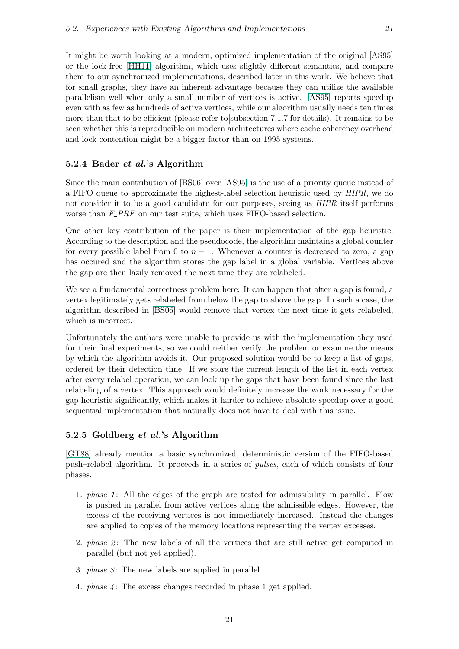It might be worth looking at a modern, optimized implementation of the original [\[AS95\]](#page-50-8) or the lock-free [\[HH11\]](#page-51-7) algorithm, which uses slightly different semantics, and compare them to our synchronized implementations, described later in this work. We believe that for small graphs, they have an inherent advantage because they can utilize the available parallelism well when only a small number of vertices is active. [\[AS95\]](#page-50-8) reports speedup even with as few as hundreds of active vertices, while our algorithm usually needs ten times more than that to be efficient (please refer to [subsection 7.1.7](#page-41-0) for details). It remains to be seen whether this is reproducible on modern architectures where cache coherency overhead and lock contention might be a bigger factor than on 1995 systems.

#### <span id="page-26-0"></span>5.2.4 Bader et al.'s Algorithm

Since the main contribution of [\[BS06\]](#page-50-9) over [\[AS95\]](#page-50-8) is the use of a priority queue instead of a FIFO queue to approximate the highest-label selection heuristic used by HIPR, we do not consider it to be a good candidate for our purposes, seeing as *HIPR* itself performs worse than  $F\_PRF$  on our test suite, which uses FIFO-based selection.

One other key contribution of the paper is their implementation of the gap heuristic: According to the description and the pseudocode, the algorithm maintains a global counter for every possible label from 0 to  $n-1$ . Whenever a counter is decreased to zero, a gap has occured and the algorithm stores the gap label in a global variable. Vertices above the gap are then lazily removed the next time they are relabeled.

We see a fundamental correctness problem here: It can happen that after a gap is found, a vertex legitimately gets relabeled from below the gap to above the gap. In such a case, the algorithm described in [\[BS06\]](#page-50-9) would remove that vertex the next time it gets relabeled, which is incorrect.

Unfortunately the authors were unable to provide us with the implementation they used for their final experiments, so we could neither verify the problem or examine the means by which the algorithm avoids it. Our proposed solution would be to keep a list of gaps, ordered by their detection time. If we store the current length of the list in each vertex after every relabel operation, we can look up the gaps that have been found since the last relabeling of a vertex. This approach would definitely increase the work necessary for the gap heuristic significantly, which makes it harder to achieve absolute speedup over a good sequential implementation that naturally does not have to deal with this issue.

#### <span id="page-26-1"></span>5.2.5 Goldberg et al.'s Algorithm

[\[GT88\]](#page-51-1) already mention a basic synchronized, deterministic version of the FIFO-based push–relabel algorithm. It proceeds in a series of pulses, each of which consists of four phases.

- 1. phase 1: All the edges of the graph are tested for admissibility in parallel. Flow is pushed in parallel from active vertices along the admissible edges. However, the excess of the receiving vertices is not immediately increased. Instead the changes are applied to copies of the memory locations representing the vertex excesses.
- 2. phase  $\mathcal{Z}$ : The new labels of all the vertices that are still active get computed in parallel (but not yet applied).
- 3. *phase 3*: The new labels are applied in parallel.
- 4. *phase*  $\angle$ : The excess changes recorded in phase 1 get applied.

21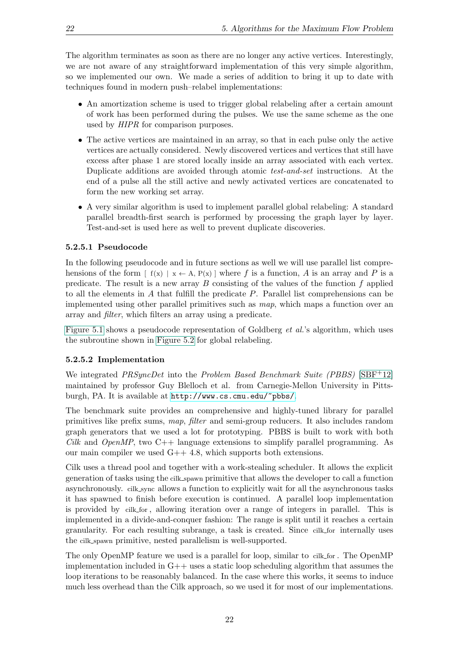The algorithm terminates as soon as there are no longer any active vertices. Interestingly, we are not aware of any straightforward implementation of this very simple algorithm, so we implemented our own. We made a series of addition to bring it up to date with techniques found in modern push–relabel implementations:

- An amortization scheme is used to trigger global relabeling after a certain amount of work has been performed during the pulses. We use the same scheme as the one used by HIPR for comparison purposes.
- The active vertices are maintained in an array, so that in each pulse only the active vertices are actually considered. Newly discovered vertices and vertices that still have excess after phase 1 are stored locally inside an array associated with each vertex. Duplicate additions are avoided through atomic *test-and-set* instructions. At the end of a pulse all the still active and newly activated vertices are concatenated to form the new working set array.
- A very similar algorithm is used to implement parallel global relabeling: A standard parallel breadth-first search is performed by processing the graph layer by layer. Test-and-set is used here as well to prevent duplicate discoveries.

#### <span id="page-27-0"></span>5.2.5.1 Pseudocode

In the following pseudocode and in future sections as well we will use parallel list comprehensions of the form  $\lceil f(x) \rceil x \leftarrow A$ ,  $P(x) \rceil$  where f is a function, A is an array and P is a predicate. The result is a new array  $B$  consisting of the values of the function  $f$  applied to all the elements in A that fulfill the predicate P. Parallel list comprehensions can be implemented using other parallel primitives such as map, which maps a function over an array and filter, which filters an array using a predicate.

[Figure 5.1](#page-28-0) shows a pseudocode representation of Goldberg *et al.*'s algorithm, which uses the subroutine shown in [Figure 5.2](#page-29-1) for global relabeling.

#### <span id="page-27-1"></span>5.2.5.2 Implementation

We integrated *PRSyncDet* into the *Problem Based Benchmark Suite (PBBS)* [\[SBF](#page-52-11)<sup>+12]</sup> maintained by professor Guy Blelloch et al. from Carnegie-Mellon University in Pittsburgh, PA. It is available at <http://www.cs.cmu.edu/~pbbs/>.

The benchmark suite provides an comprehensive and highly-tuned library for parallel primitives like prefix sums, map, filter and semi-group reducers. It also includes random graph generators that we used a lot for prototyping. PBBS is built to work with both Cilk and OpenMP, two  $C_{++}$  language extensions to simplify parallel programming. As our main compiler we used G++ 4.8, which supports both extensions.

Cilk uses a thread pool and together with a work-stealing scheduler. It allows the explicit generation of tasks using the cilk spawn primitive that allows the developer to call a function asynchronously. cilk sync allows a function to explicitly wait for all the asynchronous tasks it has spawned to finish before execution is continued. A parallel loop implementation is provided by cilk for , allowing iteration over a range of integers in parallel. This is implemented in a divide-and-conquer fashion: The range is split until it reaches a certain granularity. For each resulting subrange, a task is created. Since cilk for internally uses the cilk spawn primitive, nested parallelism is well-supported.

The only OpenMP feature we used is a parallel for loop, similar to cilk for. The OpenMP implementation included in  $G++$  uses a static loop scheduling algorithm that assumes the loop iterations to be reasonably balanced. In the case where this works, it seems to induce much less overhead than the Cilk approach, so we used it for most of our implementations.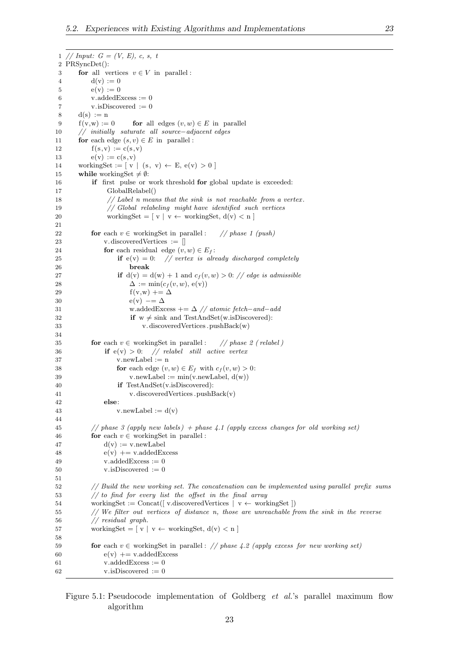```
1 // Input: G = (V, E), c, s, t2 PRSyncDet():
3 for all vertices v \in V in parallel :
4 d(v) := 05 e(v) := 06 v.addedExcess := 07 v.isDiscovered := 0
8 \quad d(s) := n9 f(v,w) := 0 for all edges (v, w) \in E in parallel
10 // initially saturate all source−adjacent edges
11 for each edge (s, v) \in E in parallel :
12 f(s, v) := c(s, v)13 e(v) := c(s, v)14 workingSet := \begin{bmatrix} v \mid (s, v) \leftarrow E, e(v) > 0 \end{bmatrix}15 while workingSet \neq \emptyset:
16 if first pulse or work threshold for global update is exceeded:
17 GlobalRelabel()
18 // Label n means that the sink is not reachable from a vertex.
19 // Global relabeling might have identified such vertices
20 workingSet = [v \mid v \leftarrow \text{workingSet}, d(v) \leq n]21
22 for each v \in workingSet in parallel : // phase 1 (push)
23 v. discovered Vertices := []
24 for each residual edge (v, w) \in E_f:
25 if e(v) = 0: // vertex is already discharged completely
26 break
27 if d(v) = d(w) + 1 and c_f(v, w) > 0: // edge is admissible
28 \Delta := \min(c_f(v, w), e(v))29 f (v,w) += \Delta30 e(v) −= \Delta31 w.addedExcess += \Delta \frac{7}{4} atomic fetch-and-add
32 if w \neq \text{sink} and TestAndSet(w.isDiscovered):
33 v. discoveredVertices .pushBack(w)
34
35 for each v \in working Set in parallel : // phase 2 ( relabel )
36 if e(v) > 0: // relabel still active vertex
37 v.newLabel := n
38 for each edge (v, w) \in E_f with c_f(v, w) > 0:
39 v.newLabel := min(v.newLabel, d(w))40 if TestAndSet(v.isDiscovered):
41 v. discoveredVertices .pushBack(v)
42 else:
43 v.newLabel := d(v)44
45 // phase 3 (apply new labels) + phase 4.1 (apply excess changes for old working set)
46 for each v \in working Set in parallel :
47 d(v) := v.newLabel48 e(v) + = v.addedExcess
49 v.addedExcess := 050 \qquad \text{v.isDiscovered} := 051
52 // Build the new working set. The concatenation can be implemented using parallel prefix sums
53 // to find for every list the offset in the final array
54 workingSet := Concat([v.discoveredVertices | v \leftarrow workingSet])55 // We filter out vertices of distance n, those are unreachable from the sink in the reverse
56 // residual graph.
57 workingSet = [v \mid v \leftarrow \text{workingSet}, d(v) < n]58
59 for each v \in workingSet in parallel : // phase 4.2 (apply excess for new working set)
60 e(v) + = v.addedExcess
61 v.addedExcess := 0
62 v.isDiscovered := 0
```
<span id="page-28-0"></span>Figure 5.1: Pseudocode implementation of Goldberg et al.'s parallel maximum flow algorithm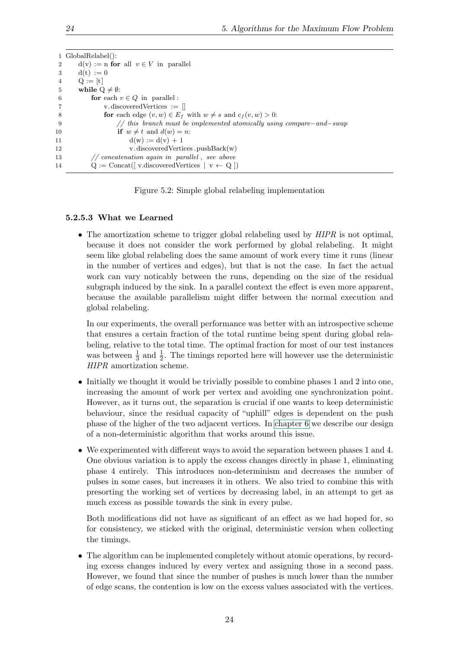|                | 1 GlobalRelabel():                                                       |
|----------------|--------------------------------------------------------------------------|
| $\overline{2}$ | $d(v) := n$ for all $v \in V$ in parallel                                |
| 3              | $d(t) := 0$                                                              |
| $\overline{4}$ | $Q := [t]$                                                               |
| 5              | while $Q \neq \emptyset$ :                                               |
| -6             | for each $v \in Q$ in parallel:                                          |
|                | v.discovered Vertices $:=$ $\parallel$                                   |
| -8             | for each edge $(v, w) \in E_f$ with $w \neq s$ and $c_f(v, w) > 0$ :     |
| - 9            | // this branch must be implemented atomically using compare $-and$ -swap |
| 10             | if $w \neq t$ and $d(w) = n$ :                                           |
| 11             | $d(w) := d(v) + 1$                                                       |
| 12             | v.discoveredVertices.pushBack(w)                                         |
| 13             | $\frac{1}{2}$ concatenation again in parallel, see above                 |
| 14             | $Q :=$ Concat([v.discoveredVertices   v $\leftarrow Q$ ])                |

<span id="page-29-1"></span>Figure 5.2: Simple global relabeling implementation

#### <span id="page-29-0"></span>5.2.5.3 What we Learned

• The amortization scheme to trigger global relabeling used by  $HIPR$  is not optimal, because it does not consider the work performed by global relabeling. It might seem like global relabeling does the same amount of work every time it runs (linear in the number of vertices and edges), but that is not the case. In fact the actual work can vary noticably between the runs, depending on the size of the residual subgraph induced by the sink. In a parallel context the effect is even more apparent, because the available parallelism might differ between the normal execution and global relabeling.

In our experiments, the overall performance was better with an introspective scheme that ensures a certain fraction of the total runtime being spent during global relabeling, relative to the total time. The optimal fraction for most of our test instances was between  $\frac{1}{3}$  and  $\frac{1}{2}$ . The timings reported here will however use the deterministic HIPR amortization scheme.

- Initially we thought it would be trivially possible to combine phases 1 and 2 into one, increasing the amount of work per vertex and avoiding one synchronization point. However, as it turns out, the separation is crucial if one wants to keep deterministic behaviour, since the residual capacity of "uphill" edges is dependent on the push phase of the higher of the two adjacent vertices. In [chapter 6](#page-32-0) we describe our design of a non-deterministic algorithm that works around this issue.
- We experimented with different ways to avoid the separation between phases 1 and 4. One obvious variation is to apply the excess changes directly in phase 1, eliminating phase 4 entirely. This introduces non-determinism and decreases the number of pulses in some cases, but increases it in others. We also tried to combine this with presorting the working set of vertices by decreasing label, in an attempt to get as much excess as possible towards the sink in every pulse.

Both modifications did not have as significant of an effect as we had hoped for, so for consistency, we sticked with the original, deterministic version when collecting the timings.

• The algorithm can be implemented completely without atomic operations, by recording excess changes induced by every vertex and assigning those in a second pass. However, we found that since the number of pushes is much lower than the number of edge scans, the contention is low on the excess values associated with the vertices.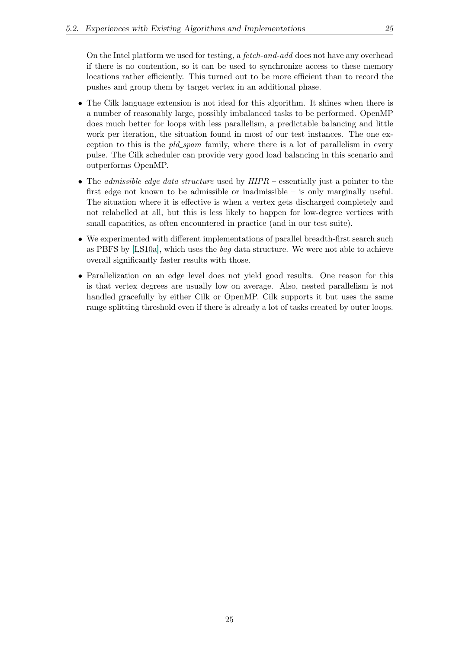On the Intel platform we used for testing, a fetch-and-add does not have any overhead if there is no contention, so it can be used to synchronize access to these memory locations rather efficiently. This turned out to be more efficient than to record the pushes and group them by target vertex in an additional phase.

- The Cilk language extension is not ideal for this algorithm. It shines when there is a number of reasonably large, possibly imbalanced tasks to be performed. OpenMP does much better for loops with less parallelism, a predictable balancing and little work per iteration, the situation found in most of our test instances. The one exception to this is the  $pld\_spam$  family, where there is a lot of parallelism in every pulse. The Cilk scheduler can provide very good load balancing in this scenario and outperforms OpenMP.
- The *admissible edge data structure* used by  $HIPR$  essentially just a pointer to the first edge not known to be admissible or inadmissible – is only marginally useful. The situation where it is effective is when a vertex gets discharged completely and not relabelled at all, but this is less likely to happen for low-degree vertices with small capacities, as often encountered in practice (and in our test suite).
- We experimented with different implementations of parallel breadth-first search such as PBFS by [\[LS10a\]](#page-52-12), which uses the bag data structure. We were not able to achieve overall significantly faster results with those.
- Parallelization on an edge level does not yield good results. One reason for this is that vertex degrees are usually low on average. Also, nested parallelism is not handled gracefully by either Cilk or OpenMP. Cilk supports it but uses the same range splitting threshold even if there is already a lot of tasks created by outer loops.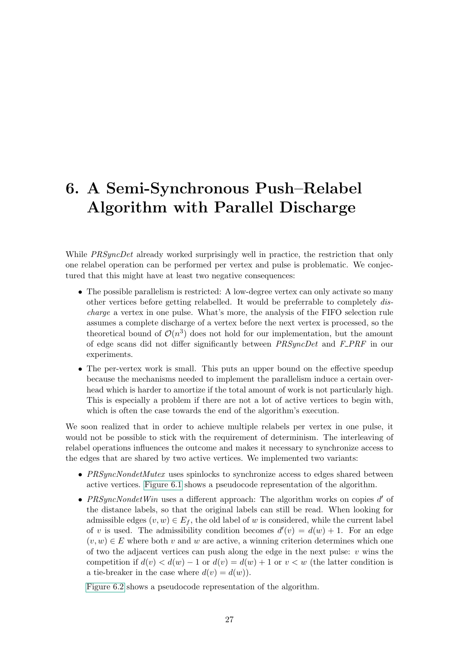# <span id="page-32-0"></span>6. A Semi-Synchronous Push–Relabel Algorithm with Parallel Discharge

While PRSyncDet already worked surprisingly well in practice, the restriction that only one relabel operation can be performed per vertex and pulse is problematic. We conjectured that this might have at least two negative consequences:

- The possible parallelism is restricted: A low-degree vertex can only activate so many other vertices before getting relabelled. It would be preferrable to completely discharge a vertex in one pulse. What's more, the analysis of the FIFO selection rule assumes a complete discharge of a vertex before the next vertex is processed, so the theoretical bound of  $\mathcal{O}(n^3)$  does not hold for our implementation, but the amount of edge scans did not differ significantly between  $PRSyncDet$  and  $F\_PRF$  in our experiments.
- The per-vertex work is small. This puts an upper bound on the effective speedup because the mechanisms needed to implement the parallelism induce a certain overhead which is harder to amortize if the total amount of work is not particularly high. This is especially a problem if there are not a lot of active vertices to begin with, which is often the case towards the end of the algorithm's execution.

We soon realized that in order to achieve multiple relabels per vertex in one pulse, it would not be possible to stick with the requirement of determinism. The interleaving of relabel operations influences the outcome and makes it necessary to synchronize access to the edges that are shared by two active vertices. We implemented two variants:

- PRSyncNondetMutex uses spinlocks to synchronize access to edges shared between active vertices. [Figure 6.1](#page-33-1) shows a pseudocode representation of the algorithm.
- PRSyncNondetWin uses a different approach: The algorithm works on copies  $d'$  of the distance labels, so that the original labels can still be read. When looking for admissible edges  $(v, w) \in E_f$ , the old label of w is considered, while the current label of v is used. The admissibility condition becomes  $d'(v) = d(w) + 1$ . For an edge  $(v, w) \in E$  where both v and w are active, a winning criterion determines which one of two the adjacent vertices can push along the edge in the next pulse:  $v$  wins the competition if  $d(v) < d(w) - 1$  or  $d(v) = d(w) + 1$  or  $v < w$  (the latter condition is a tie-breaker in the case where  $d(v) = d(w)$ .

[Figure 6.2](#page-34-0) shows a pseudocode representation of the algorithm.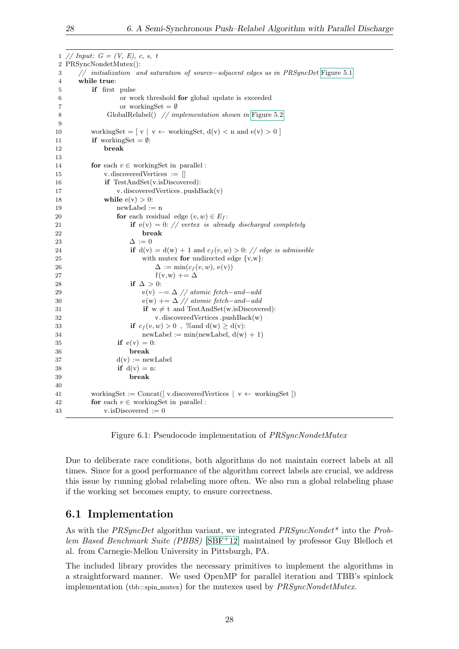1 // Input:  $G = (V, E), c, s, t$ 2 PRSyncNondetMutex(): 3 // initialization and saturation of source−adjacent edges as in PRSyncDet [Figure 5.1](#page-28-0) 4 while true: 5 if first pulse 6 or work threshold for global update is exceeded 7 or workingSet  $=$  Ø 8 GlobalRelabel() // implementation shown in [Figure 5.2](#page-29-1) 9 10 workingSet =  $[v \mid v \leftarrow \text{workingSet}, d(v) < n$  and  $e(v) > 0$ 11 if workingSet =  $\emptyset$ : 12 break 13 14 **for** each  $v \in$  workingSet in parallel : 15 v. discoveredVertices := [] 16 **if** TestAndSet(v.isDiscovered): 17 v. discoveredVertices .pushBack(v) 18 while  $e(v) > 0$ : 19  $newLabel := n$ 20 **for** each residual edge  $(v, w) \in E_f$ : 21 if  $e(v) = 0$ : // vertex is already discharged completely 22 break 23  $\Delta := 0$ 24 if  $d(v) = d(w) + 1$  and  $c_f(v, w) > 0$ : // edge is admissible 25 with mutex for undirected edge  $\{v,w\}$ : 26  $\Delta := \min(c_f(v, w), e(v))$ 27 f (v,w)  $+= \Delta$ 28 if  $\Delta > 0$ : 29 e(v)  $-\equiv \Delta$  // atomic fetch-and-add 30 e(w)  $+ = \Delta$  // atomic fetch-and-add 31 if  $w \neq t$  and TestAndSet(w.isDiscovered): 32 v. discoveredVertices .pushBack(w) 33 if  $c_f(v, w) > 0$ , %and  $d(w) \geq d(v)$ :  $34$  newLabel := min(newLabel,  $d(w) + 1$ ) 35 **if**  $e(v) = 0$ : 36 break 37  $d(v) := newLabel$ 38 if  $d(v) = n$ : 39 break 40 41 workingSet := Concat([ v.discoveredVertices |  $v \leftarrow$  workingSet ]) 42 **for** each  $v \in$  working Set in parallel : 43 v.isDiscovered  $:= 0$ 

<span id="page-33-1"></span>Figure 6.1: Pseudocode implementation of *PRSyncNondetMutex* 

Due to deliberate race conditions, both algorithms do not maintain correct labels at all times. Since for a good performance of the algorithm correct labels are crucial, we address this issue by running global relabeling more often. We also run a global relabeling phase if the working set becomes empty, to ensure correctness.

## <span id="page-33-0"></span>6.1 Implementation

As with the PRSyncDet algorithm variant, we integrated  $PRSyncNondet^*$  into the Problem Based Benchmark Suite (PBBS) [\[SBF](#page-52-11)+12] maintained by professor Guy Blelloch et al. from Carnegie-Mellon University in Pittsburgh, PA.

The included library provides the necessary primitives to implement the algorithms in a straightforward manner. We used OpenMP for parallel iteration and TBB's spinlock implementation (tbb::spin\_mutex) for the mutexes used by  $PRSyncNondetMutex$ .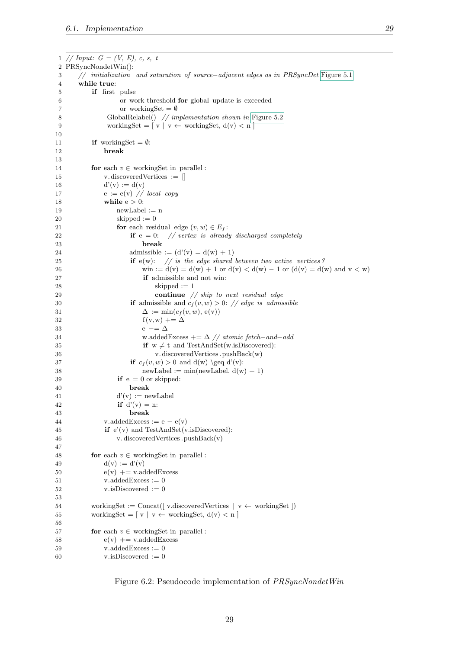```
1 // Input: G = (V, E), c, s, t2 PRSyncNondetWin():
3 // initialization and saturation of source−adjacent edges as in PRSyncDet Figure 5.1
4 while true:
5 if first pulse
6 or work threshold for global update is exceeded
7 or workingSet = \emptyset8 GlobalRelabel() // implementation shown in Figure 5.2
9 workingSet = [v \mid v \leftarrow \text{workingSet}, d(v) < n]10
11 if workingSet = \emptyset:
12 break
13
14 for each v \in working Set in parallel :
15 v. discovered Vertices := []
16 d'(v) := d(v)17 e := e(v) \text{ // local copy}18 while e > 0:
19 newLabel := n20 skipped := 0
21 for each residual edge (v, w) \in E_f:
22 if e = 0: // vertex is already discharged completely
23 break
24 admissible := (d'(v) = d(w) + 1)25 if e(w): // is the edge shared between two active vertices ?
26 win := d(v) = d(w) + 1 or d(v) < d(w) – 1 or (d(v) = d(w) and v < w)
27 if admissible and not win:
28 skipped := 1
29 continue // skip to next residual edge
30 if admissible and c_f(v, w) > 0: // edge is admissible
31 \Delta := \min(c_f(v, w), e(v))32 f (v,w) += \Delta33 e - \Delta34 w.addedExcess += \Delta // atomic fetch-and-add
35 if w \neq t and TestAndSet(w.isDiscovered):
36 v. discoveredVertices .pushBack(w)
37 if c_f(v, w) > 0 and d(w) \geq d'(v):
38 newLabel := min(newLabel, d(w) + 1)
39 if e = 0 or skipped:
40 break
41 d'(v) := newLabel42 if d'(v) = n:
43 break
44 v.addedExcess := e - e(v)45 if e'(v) and TestAndSet(v.isDiscovered):
46 v. discoveredVertices .pushBack(v)
47
48 for each v \in workingSet in parallel :
49 d(v) := d'(v)50 e(v) + = v.addedExcess
51 v.addedExcess := 052 v.isDiscovered := 0
53
54 workingSet := Concat(\vert v.discoveredVertices \vert v \leftarrow workingSet \vert)55 workingSet = [v \mid v \leftarrow \text{workingSet}, d(v) < n]56
57 for each v \in workingSet in parallel :
58 e(v) + = v.addedExcess
59 \text{ v addedExcess} = 060 v.isDiscovered := 0
```
<span id="page-34-0"></span>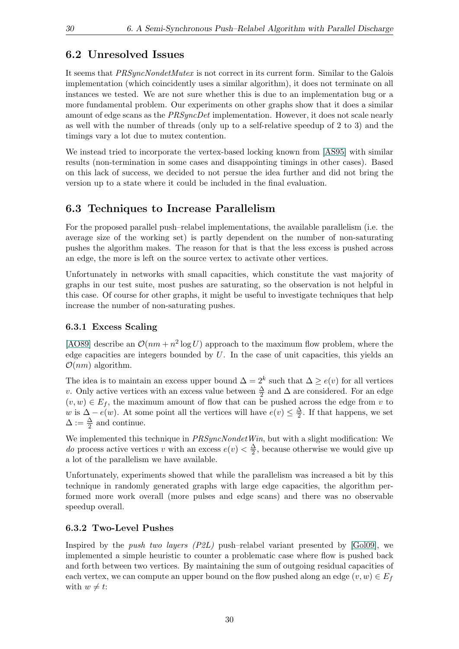### <span id="page-35-0"></span>6.2 Unresolved Issues

It seems that *PRSyncNondetMutex* is not correct in its current form. Similar to the Galois implementation (which coincidently uses a similar algorithm), it does not terminate on all instances we tested. We are not sure whether this is due to an implementation bug or a more fundamental problem. Our experiments on other graphs show that it does a similar amount of edge scans as the *PRSyncDet* implementation. However, it does not scale nearly as well with the number of threads (only up to a self-relative speedup of 2 to 3) and the timings vary a lot due to mutex contention.

We instead tried to incorporate the vertex-based locking known from [\[AS95\]](#page-50-8) with similar results (non-termination in some cases and disappointing timings in other cases). Based on this lack of success, we decided to not persue the idea further and did not bring the version up to a state where it could be included in the final evaluation.

## <span id="page-35-1"></span>6.3 Techniques to Increase Parallelism

For the proposed parallel push–relabel implementations, the available parallelism (i.e. the average size of the working set) is partly dependent on the number of non-saturating pushes the algorithm makes. The reason for that is that the less excess is pushed across an edge, the more is left on the source vertex to activate other vertices.

Unfortunately in networks with small capacities, which constitute the vast majority of graphs in our test suite, most pushes are saturating, so the observation is not helpful in this case. Of course for other graphs, it might be useful to investigate techniques that help increase the number of non-saturating pushes.

#### <span id="page-35-2"></span>6.3.1 Excess Scaling

[\[AO89\]](#page-50-12) describe an  $\mathcal{O}(nm + n^2 \log U)$  approach to the maximum flow problem, where the edge capacities are integers bounded by  $U$ . In the case of unit capacities, this yields an  $\mathcal{O}(nm)$  algorithm.

The idea is to maintain an excess upper bound  $\Delta = 2^k$  such that  $\Delta \geq e(v)$  for all vertices v. Only active vertices with an excess value between  $\frac{\Delta}{2}$  and  $\Delta$  are considered. For an edge  $(v, w) \in E_f$ , the maximum amount of flow that can be pushed across the edge from v to w is  $\Delta - e(w)$ . At some point all the vertices will have  $e(v) \leq \frac{\Delta}{2}$  $\frac{\Delta}{2}$ . If that happens, we set  $\Delta := \frac{\Delta}{2}$  and continue.

We implemented this technique in  $PRSyncNondetWin$ , but with a slight modification: We *do* process active vertices v with an excess  $e(v) < \frac{\Delta}{2}$  $\frac{\Delta}{2}$ , because otherwise we would give up a lot of the parallelism we have available.

Unfortunately, experiments showed that while the parallelism was increased a bit by this technique in randomly generated graphs with large edge capacities, the algorithm performed more work overall (more pulses and edge scans) and there was no observable speedup overall.

#### <span id="page-35-3"></span>6.3.2 Two-Level Pushes

Inspired by the push two layers  $(P2L)$  push-relabel variant presented by [\[Gol09\]](#page-51-12), we implemented a simple heuristic to counter a problematic case where flow is pushed back and forth between two vertices. By maintaining the sum of outgoing residual capacities of each vertex, we can compute an upper bound on the flow pushed along an edge  $(v, w) \in E_f$ with  $w \neq t$ :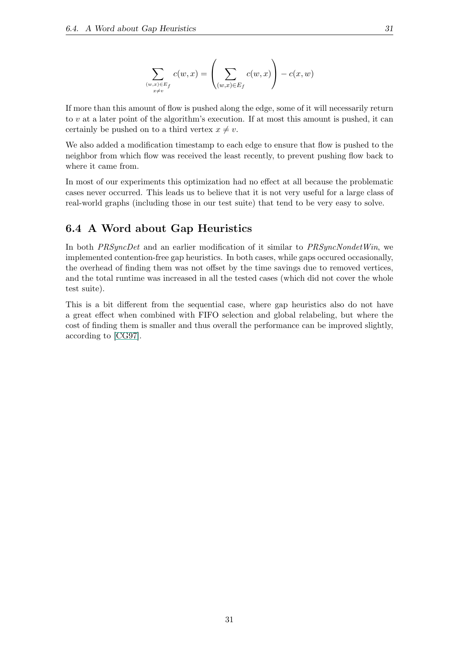$$
\sum_{\substack{(w,x)\in E_f\\x\neq v}} c(w,x) = \left(\sum_{(w,x)\in E_f} c(w,x)\right) - c(x,w)
$$

If more than this amount of flow is pushed along the edge, some of it will necessarily return to v at a later point of the algorithm's execution. If at most this amount is pushed, it can certainly be pushed on to a third vertex  $x \neq v$ .

We also added a modification timestamp to each edge to ensure that flow is pushed to the neighbor from which flow was received the least recently, to prevent pushing flow back to where it came from.

In most of our experiments this optimization had no effect at all because the problematic cases never occurred. This leads us to believe that it is not very useful for a large class of real-world graphs (including those in our test suite) that tend to be very easy to solve.

### <span id="page-36-0"></span>6.4 A Word about Gap Heuristics

In both *PRSyncDet* and an earlier modification of it similar to *PRSyncNondetWin*, we implemented contention-free gap heuristics. In both cases, while gaps occured occasionally, the overhead of finding them was not offset by the time savings due to removed vertices, and the total runtime was increased in all the tested cases (which did not cover the whole test suite).

This is a bit different from the sequential case, where gap heuristics also do not have a great effect when combined with FIFO selection and global relabeling, but where the cost of finding them is smaller and thus overall the performance can be improved slightly, according to [\[CG97\]](#page-50-5).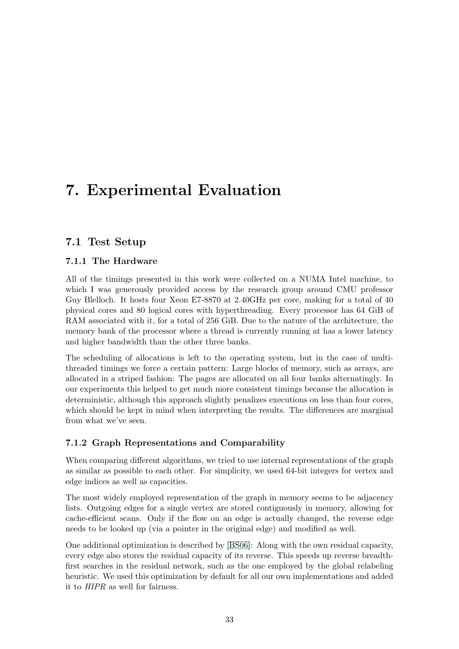# <span id="page-38-0"></span>7. Experimental Evaluation

## <span id="page-38-1"></span>7.1 Test Setup

#### <span id="page-38-2"></span>7.1.1 The Hardware

All of the timings presented in this work were collected on a NUMA Intel machine, to which I was generously provided access by the research group around CMU professor Guy Blelloch. It hosts four Xeon E7-8870 at 2.40GHz per core, making for a total of 40 physical cores and 80 logical cores with hyperthreading. Every processor has 64 GiB of RAM associated with it, for a total of 256 GiB. Due to the nature of the architecture, the memory bank of the processor where a thread is currently running at has a lower latency and higher bandwidth than the other three banks.

The scheduling of allocations is left to the operating system, but in the case of multithreaded timings we force a certain pattern: Large blocks of memory, such as arrays, are allocated in a striped fashion: The pages are allocated on all four banks alternatingly. In our experiments this helped to get much more consistent timings because the allocation is deterministic, although this approach slightly penalizes executions on less than four cores, which should be kept in mind when interpreting the results. The differences are marginal from what we've seen.

### <span id="page-38-3"></span>7.1.2 Graph Representations and Comparability

When comparing different algorithms, we tried to use internal representations of the graph as similar as possible to each other. For simplicity, we used 64-bit integers for vertex and edge indices as well as capacities.

The most widely employed representation of the graph in memory seems to be adjacency lists. Outgoing edges for a single vertex are stored contiguously in memory, allowing for cache-efficient scans. Only if the flow on an edge is actually changed, the reverse edge needs to be looked up (via a pointer in the original edge) and modified as well.

One additional optimization is described by [\[BS06\]](#page-50-9): Along with the own residual capacity, every edge also stores the residual capacity of its reverse. This speeds up reverse breadthfirst searches in the residual network, such as the one employed by the global relabeling heuristic. We used this optimization by default for all our own implementations and added it to HIPR as well for fairness.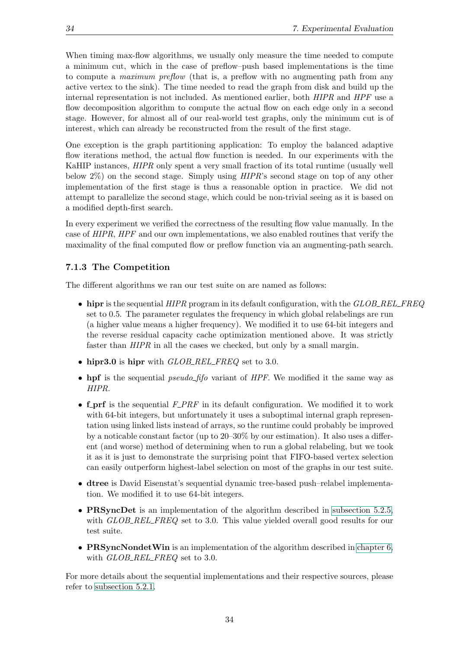When timing max-flow algorithms, we usually only measure the time needed to compute a minimum cut, which in the case of preflow–push based implementations is the time to compute a maximum preflow (that is, a preflow with no augmenting path from any active vertex to the sink). The time needed to read the graph from disk and build up the internal representation is not included. As mentioned earlier, both HIPR and HPF use a flow decomposition algorithm to compute the actual flow on each edge only in a second stage. However, for almost all of our real-world test graphs, only the minimum cut is of interest, which can already be reconstructed from the result of the first stage.

One exception is the graph partitioning application: To employ the balanced adaptive flow iterations method, the actual flow function is needed. In our experiments with the KaHIP instances, HIPR only spent a very small fraction of its total runtime (usually well below 2%) on the second stage. Simply using HIPR's second stage on top of any other implementation of the first stage is thus a reasonable option in practice. We did not attempt to parallelize the second stage, which could be non-trivial seeing as it is based on a modified depth-first search.

In every experiment we verified the correctness of the resulting flow value manually. In the case of HIPR, HPF and our own implementations, we also enabled routines that verify the maximality of the final computed flow or preflow function via an augmenting-path search.

#### <span id="page-39-0"></span>7.1.3 The Competition

The different algorithms we ran our test suite on are named as follows:

- $\bullet$  hipr is the sequential  $HIPR$  program in its default configuration, with the  $GLOB$ -REL-FREQ set to 0.5. The parameter regulates the frequency in which global relabelings are run (a higher value means a higher frequency). We modified it to use 64-bit integers and the reverse residual capacity cache optimization mentioned above. It was strictly faster than HIPR in all the cases we checked, but only by a small margin.
- $\bullet$  hipr3.0 is hipr with  $GLOB\_REL\_FREQ$  set to 3.0.
- hpf is the sequential *pseudo\_fifo* variant of  $HPF$ . We modified it the same way as HIPR.
- f\_prf is the sequential  $F\_PRF$  in its default configuration. We modified it to work with 64-bit integers, but unfortunately it uses a suboptimal internal graph representation using linked lists instead of arrays, so the runtime could probably be improved by a noticable constant factor (up to 20–30% by our estimation). It also uses a different (and worse) method of determining when to run a global relabeling, but we took it as it is just to demonstrate the surprising point that FIFO-based vertex selection can easily outperform highest-label selection on most of the graphs in our test suite.
- dtree is David Eisenstat's sequential dynamic tree-based push–relabel implementation. We modified it to use 64-bit integers.
- **PRSyncDet** is an implementation of the algorithm described in [subsection 5.2.5,](#page-26-1) with  $GLOB$ -REL-FREQ set to 3.0. This value yielded overall good results for our test suite.
- PRSyncNondetWin is an implementation of the algorithm described in [chapter 6,](#page-32-0) with *GLOB\_REL\_FREQ* set to 3.0.

For more details about the sequential implementations and their respective sources, please refer to [subsection 5.2.1.](#page-24-1)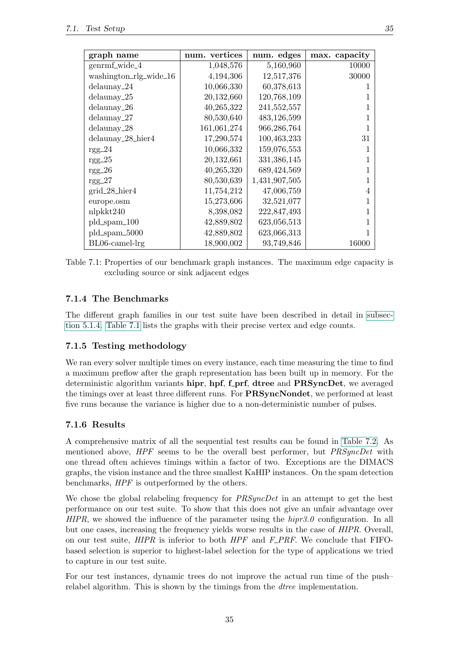| graph name             | num. vertices | num. edges    | max. capacity |
|------------------------|---------------|---------------|---------------|
| genrmf_wide_4          | 1,048,576     | 5,160,960     | 10000         |
| washington_rlg_wide_16 | 4,194,306     | 12,517,376    | 30000         |
| $delaunay_24$          | 10,066,330    | 60,378,613    |               |
| $delaunay_25$          | 20,132,660    | 120,768,109   |               |
| $delaunay_26$          | 40,265,322    | 241,552,557   |               |
| $delaunay_2$           | 80,530,640    | 483,126,599   |               |
| $delaunay_28$          | 161,061,274   | 966,286,764   |               |
| $delaunay_28_$ hier4   | 17,290,574    | 100,463,233   | 31            |
| $rgg_224$              | 10,066,332    | 159,076,553   |               |
| $rgg_225$              | 20,132,661    | 331,386,145   |               |
| $rgg_226$              | 40,265,320    | 689,424,569   |               |
| $rgg_227$              | 80,530,639    | 1,431,907,505 |               |
| $grid_28_$ hier4       | 11,754,212    | 47,006,759    |               |
| europe.osm             | 15,273,606    | 32,521,077    |               |
| nlpkkt240              | 8,398,082     | 222,847,493   |               |
| $pld_spam_100$         | 42,889,802    | 623,056,513   |               |
| pld_spam_5000          | 42,889,802    | 623,066,313   |               |
| $BL06$ -camel- $\lg$   | 18,900,002    | 93,749,846    | 16000         |

<span id="page-40-3"></span>Table 7.1: Properties of our benchmark graph instances. The maximum edge capacity is excluding source or sink adjacent edges

#### <span id="page-40-0"></span>7.1.4 The Benchmarks

The different graph families in our test suite have been described in detail in [subsec](#page-22-0)[tion 5.1.4.](#page-22-0) [Table 7.1](#page-40-3) lists the graphs with their precise vertex and edge counts.

#### <span id="page-40-1"></span>7.1.5 Testing methodology

We ran every solver multiple times on every instance, each time measuring the time to find a maximum preflow after the graph representation has been built up in memory. For the deterministic algorithm variants hipr, hpf, f\_prf, dtree and PRSyncDet, we averaged the timings over at least three different runs. For **PRSyncNondet**, we performed at least five runs because the variance is higher due to a non-deterministic number of pulses.

#### <span id="page-40-2"></span>7.1.6 Results

A comprehensive matrix of all the sequential test results can be found in [Table 7.2.](#page-44-0) As mentioned above,  $HPF$  seems to be the overall best performer, but *PRSyncDet* with one thread often achieves timings within a factor of two. Exceptions are the DIMACS graphs, the vision instance and the three smallest KaHIP instances. On the spam detection benchmarks, HPF is outperformed by the others.

We chose the global relabeling frequency for *PRSyncDet* in an attempt to get the best performance on our test suite. To show that this does not give an unfair advantage over  $HIPR$ , we showed the influence of the parameter using the  $hipr3.0$  configuration. In all but one cases, increasing the frequency yields worse results in the case of HIPR. Overall, on our test suite,  $HIPR$  is inferior to both  $HPF$  and  $F\_PRF$ . We conclude that FIFObased selection is superior to highest-label selection for the type of applications we tried to capture in our test suite.

For our test instances, dynamic trees do not improve the actual run time of the push– relabel algorithm. This is shown by the timings from the *dtree* implementation.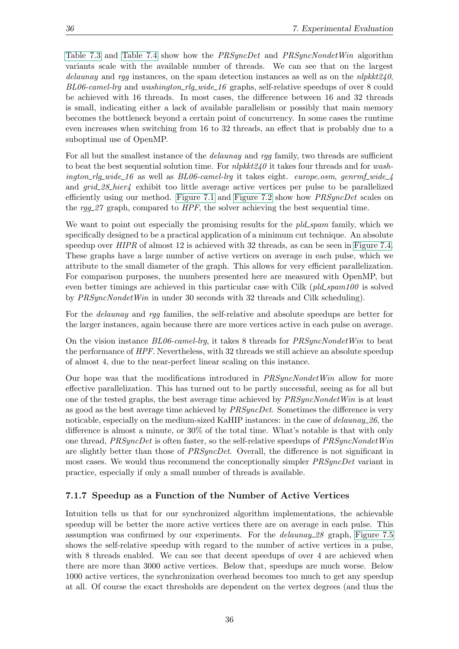[Table 7.3](#page-45-0) and [Table 7.4](#page-45-1) show how the PRSyncDet and PRSyncNondetWin algorithm variants scale with the available number of threads. We can see that on the largest delaunay and rgg instances, on the spam detection instances as well as on the  $nlpkkt240$ ,  $BL06\text{-}camel\text{-}lq$  and washington  $rlq\text{-}wide\text{-}16$  graphs, self-relative speedups of over 8 could be achieved with 16 threads. In most cases, the difference between 16 and 32 threads is small, indicating either a lack of available parallelism or possibly that main memory becomes the bottleneck beyond a certain point of concurrency. In some cases the runtime even increases when switching from 16 to 32 threads, an effect that is probably due to a suboptimal use of OpenMP.

For all but the smallest instance of the *delaunay* and rgg family, two threads are sufficient to beat the best sequential solution time. For  $nlpkt240$  it takes four threads and for washington rlg wide 16 as well as BL06-camel-lrg it takes eight. europe.osm, genrmf wide  $\downarrow$ and  $grid\_28\_hier/$  exhibit too little average active vertices per pulse to be parallelized efficiently using our method. [Figure 7.1](#page-42-0) and [Figure 7.2](#page-42-1) show how *PRSyncDet* scales on the  $\text{rgg}_2$  graph, compared to  $HPF$ , the solver achieving the best sequential time.

We want to point out especially the promising results for the *pld\_spam* family, which we specifically designed to be a practical application of a minimum cut technique. An absolute speedup over  $HIPR$  of almost 12 is achieved with 32 threads, as can be seen in [Figure 7.4.](#page-42-2) These graphs have a large number of active vertices on average in each pulse, which we attribute to the small diameter of the graph. This allows for very efficient parallelization. For comparison purposes, the numbers presented here are measured with OpenMP, but even better timings are achieved in this particular case with Cilk (pld\_spam100 is solved by PRSyncNondetWin in under 30 seconds with 32 threads and Cilk scheduling).

For the delaunay and rgg families, the self-relative and absolute speedups are better for the larger instances, again because there are more vertices active in each pulse on average.

On the vision instance  $B\text{L06-camel-}$ lrg, it takes 8 threads for  $PRSyncNondetWin$  to beat the performance of HPF. Nevertheless, with 32 threads we still achieve an absolute speedup of almost 4, due to the near-perfect linear scaling on this instance.

Our hope was that the modifications introduced in PRSyncNondetWin allow for more effective parallelization. This has turned out to be partly successful, seeing as for all but one of the tested graphs, the best average time achieved by PRSyncNondetWin is at least as good as the best average time achieved by *PRSyncDet*. Sometimes the difference is very noticable, especially on the medium-sized KaHIP instances: in the case of *delaunay* 26, the difference is almost a minute, or 30% of the total time. What's notable is that with only one thread, PRSyncDet is often faster, so the self-relative speedups of PRSyncNondetWin are slightly better than those of *PRSyncDet*. Overall, the difference is not significant in most cases. We would thus recommend the conceptionally simpler *PRSyncDet* variant in practice, especially if only a small number of threads is available.

#### <span id="page-41-0"></span>7.1.7 Speedup as a Function of the Number of Active Vertices

Intuition tells us that for our synchronized algorithm implementations, the achievable speedup will be better the more active vertices there are on average in each pulse. This assumption was confirmed by our experiments. For the *delaunay 28* graph, [Figure 7.5](#page-42-3) shows the self-relative speedup with regard to the number of active vertices in a pulse, with 8 threads enabled. We can see that decent speedups of over 4 are achieved when there are more than 3000 active vertices. Below that, speedups are much worse. Below 1000 active vertices, the synchronization overhead becomes too much to get any speedup at all. Of course the exact thresholds are dependent on the vertex degrees (and thus the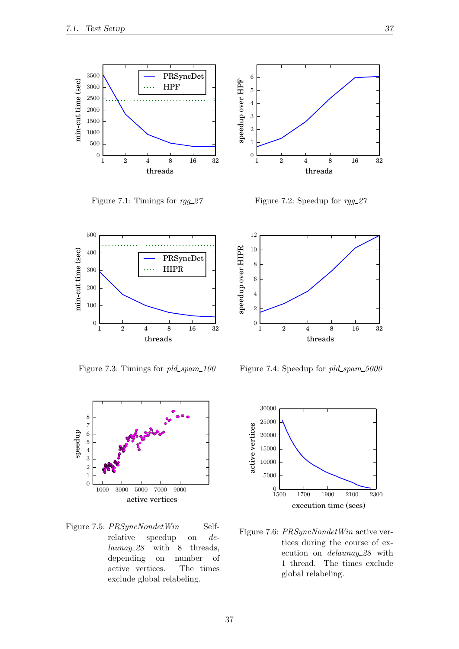

<span id="page-42-0"></span>Figure 7.1: Timings for  $rqq_2$  27



<span id="page-42-1"></span>Figure 7.2: Speedup for  $rqq\_27$ 



Figure 7.3: Timings for  $pld\_spam\_100$ 



<span id="page-42-3"></span>Figure 7.5:  $PRSyncNondetWin$  Selfrelative speedup on delaunay 28 with 8 threads, depending on number of active vertices. The times exclude global relabeling.

12 speedup over HIPR 10 speedup over HIPR 8 6 4 2 0 1 2 4 8 16 32 threads

<span id="page-42-2"></span>Figure 7.4: Speedup for pld\_spam\_5000



<span id="page-42-4"></span>Figure 7.6: PRSyncNondetWin active vertices during the course of execution on *delaunay* 28 with 1 thread. The times exclude global relabeling.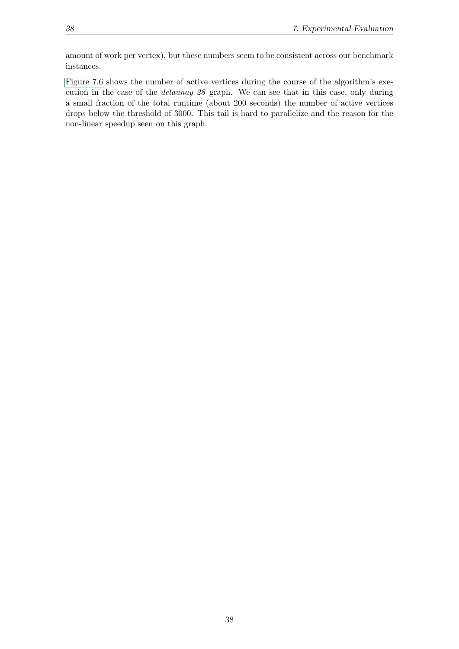amount of work per vertex), but these numbers seem to be consistent across our benchmark instances.

[Figure 7.6](#page-42-4) shows the number of active vertices during the course of the algorithm's execution in the case of the *delaunay* 28 graph. We can see that in this case, only during a small fraction of the total runtime (about 200 seconds) the number of active vertices drops below the threshold of 3000. This tail is hard to parallelize and the reason for the non-linear speedup seen on this graph.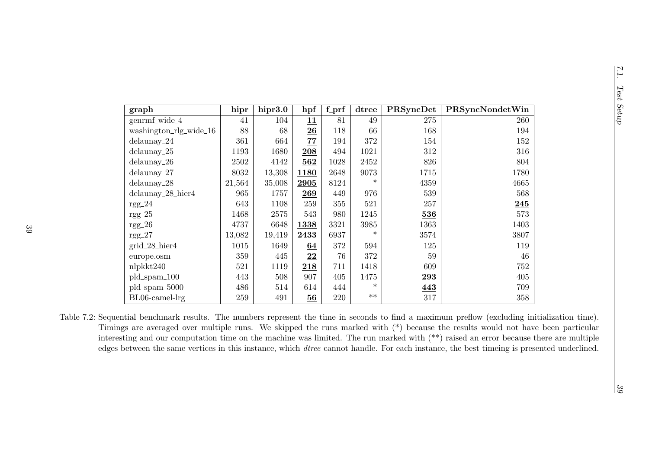| ۱i<br>ľ      |
|--------------|
| ֚֚<br>ť<br>١ |

| graph                                                                                                                                                                                                                                                                                                                                                                                                                                                                                                                                                                            | hipr   | hipr3.0  | hpf             | $f_prf$ | dtree  | PRSyncDet | PRSyncNondetWin |       |
|----------------------------------------------------------------------------------------------------------------------------------------------------------------------------------------------------------------------------------------------------------------------------------------------------------------------------------------------------------------------------------------------------------------------------------------------------------------------------------------------------------------------------------------------------------------------------------|--------|----------|-----------------|---------|--------|-----------|-----------------|-------|
| genrmf_wide_4                                                                                                                                                                                                                                                                                                                                                                                                                                                                                                                                                                    | 41     | 104      | 11              | 81      | 49     | 275       | 260             | Setup |
| washington_rlg_wide_16                                                                                                                                                                                                                                                                                                                                                                                                                                                                                                                                                           | 88     | 68       | 26              | 118     | 66     | 168       | 194             |       |
| $delaunay_224$                                                                                                                                                                                                                                                                                                                                                                                                                                                                                                                                                                   | 361    | 664      | 77              | 194     | 372    | 154       | 152             |       |
| $delaunay_25$                                                                                                                                                                                                                                                                                                                                                                                                                                                                                                                                                                    | 1193   | 1680     | 208             | 494     | 1021   | $312\,$   | 316             |       |
| $delaunay_26$                                                                                                                                                                                                                                                                                                                                                                                                                                                                                                                                                                    | 2502   | 4142     | 562             | 1028    | 2452   | 826       | 804             |       |
| delaunay_27                                                                                                                                                                                                                                                                                                                                                                                                                                                                                                                                                                      | 8032   | 13,308   | 1180            | 2648    | 9073   | 1715      | 1780            |       |
| $delaunay_28$                                                                                                                                                                                                                                                                                                                                                                                                                                                                                                                                                                    | 21,564 | 35,008   | 2905            | 8124    | $\ast$ | 4359      | 4665            |       |
| delaunay_28_hier4                                                                                                                                                                                                                                                                                                                                                                                                                                                                                                                                                                | 965    | 1757     | 269             | 449     | 976    | 539       | 568             |       |
| $rgg_224$                                                                                                                                                                                                                                                                                                                                                                                                                                                                                                                                                                        | 643    | 1108     | 259             | 355     | 521    | 257       | 245             |       |
| $rgg_225$                                                                                                                                                                                                                                                                                                                                                                                                                                                                                                                                                                        | 1468   | $2575\,$ | 543             | 980     | 1245   | 536       | 573             |       |
| $rgg_226$                                                                                                                                                                                                                                                                                                                                                                                                                                                                                                                                                                        | 4737   | 6648     | 1338            | 3321    | 3985   | 1363      | 1403            |       |
| $rgg_227$                                                                                                                                                                                                                                                                                                                                                                                                                                                                                                                                                                        | 13,082 | 19,419   | 2433            | 6937    |        | 3574      | 3807            |       |
| grid_28_hier4                                                                                                                                                                                                                                                                                                                                                                                                                                                                                                                                                                    | 1015   | 1649     | 64              | 372     | 594    | 125       | 119             |       |
| europe.osm                                                                                                                                                                                                                                                                                                                                                                                                                                                                                                                                                                       | 359    | 445      | $\overline{22}$ | 76      | 372    | 59        | 46              |       |
| nlpkkt240                                                                                                                                                                                                                                                                                                                                                                                                                                                                                                                                                                        | 521    | 1119     | 218             | 711     | 1418   | 609       | 752             |       |
| pld_spam_100                                                                                                                                                                                                                                                                                                                                                                                                                                                                                                                                                                     | 443    | 508      | 907             | 405     | 1475   | 293       | 405             |       |
| pld_spam_5000                                                                                                                                                                                                                                                                                                                                                                                                                                                                                                                                                                    | 486    | 514      | 614             | 444     | $\ast$ | 443       | 709             |       |
| BL06-camel-lrg                                                                                                                                                                                                                                                                                                                                                                                                                                                                                                                                                                   | 259    | 491      | 56              | 220     | $***$  | 317       | 358             |       |
| Table 7.2: Sequential benchmark results. The numbers represent the time in seconds to find a maximum preflow (excluding initialization time).<br>Timings are averaged over multiple runs. We skipped the runs marked with $(*)$ because the results would not have been particular<br>interesting and our computation time on the machine was limited. The run marked with $(**)$ raised an error because there are multiple<br>edges between the same vertices in this instance, which <i>dtree</i> cannot handle. For each instance, the best timeing is presented underlined. |        |          |                 |         |        |           |                 | 33    |

<span id="page-44-0"></span>7.1.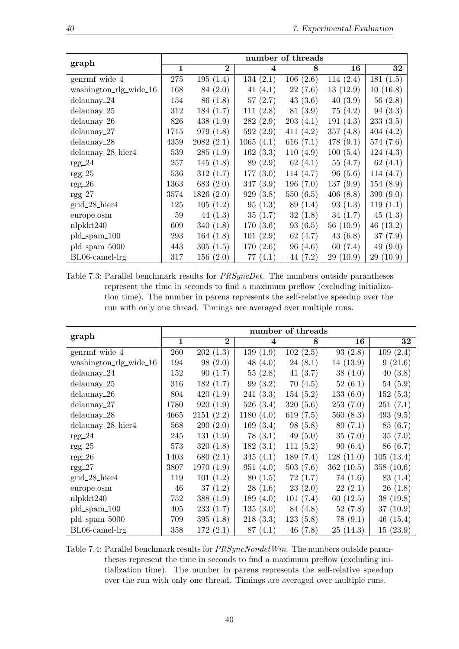| graph                  | number of threads |                |                  |             |             |              |  |  |
|------------------------|-------------------|----------------|------------------|-------------|-------------|--------------|--|--|
|                        | $\mathbf{1}$      | $\overline{2}$ | $\boldsymbol{4}$ | 8           | 16          | 32           |  |  |
| genrmf_wide_4          | 275               | 195(1.4)       | 134(2.1)         | 106(2.6)    | 114(2.4)    | 181(1.5)     |  |  |
| washington_rlg_wide_16 | 168               | 84 (2.0)       | 41 $(4.1)$       | 22(7.6)     | 13(12.9)    | 10(16.8)     |  |  |
| $delaunay_224$         | 154               | 86 (1.8)       | 57(2.7)          | 43(3.6)     | 40(3.9)     | 56(2.8)      |  |  |
| $delaunay_25$          | 312               | 184(1.7)       | 111(2.8)         | 81 (3.9)    | 75(4.2)     | 94(3.3)      |  |  |
| $delaunay_26$          | 826               | 438 $(1.9)$    | 282(2.9)         | 203(4.1)    | 191(4.3)    | 233(3.5)     |  |  |
| $delaunay_2$           | 1715              | 979(1.8)       | 592(2.9)         | 411(4.2)    | 357 $(4.8)$ | 404(4.2)     |  |  |
| $delaunay_28$          | 4359              | 2082(2.1)      | 1065(4.1)        | 616 $(7.1)$ | 478 $(9.1)$ | 574(7.6)     |  |  |
| $delaunay_28_$ hier4   | 539               | 285(1.9)       | 162(3.3)         | 110(4.9)    | 100(5.4)    | 124(4.3)     |  |  |
| $rgg_224$              | 257               | 145(1.8)       | 89 (2.9)         | 62 $(4.1)$  | 55(4.7)     | 62 $(4.1)$   |  |  |
| $rgg_225$              | 536               | 312(1.7)       | 177(3.0)         | 114(4.7)    | 96(5.6)     | 114(4.7)     |  |  |
| $rgg_226$              | 1363              | 683 $(2.0)$    | 347(3.9)         | 196(7.0)    | 137(9.9)    | 154(8.9)     |  |  |
| $rgg_227$              | 3574              | 1826(2.0)      | 929(3.8)         | 550(6.5)    | 406(8.8)    | 399 $(9.0)$  |  |  |
| $grid_28_$ hier4       | 125               | 105(1.2)       | 95(1.3)          | 89 (1.4)    | 93(1.3)     | 119(1.1)     |  |  |
| europe.osm             | 59                | 44 $(1.3)$     | 35(1.7)          | 32(1.8)     | 34(1.7)     | 45(1.3)      |  |  |
| nlpkkt240              | 609               | 340 $(1.8)$    | 170(3.6)         | 93(6.5)     | 56(10.9)    | 46(13.2)     |  |  |
| $pld_spam_100$         | 293               | 164(1.8)       | 101(2.9)         | 62 $(4.7)$  | 43 $(6.8)$  | 37(7.9)      |  |  |
| $pld_spam_5000$        | 443               | 305(1.5)       | 170(2.6)         | 96(4.6)     | 60(7.4)     | 49 $(9.0)$   |  |  |
| $BL06$ -camel- $lrg$   | 317               | 156(2.0)       | (4.1)<br>77      | 44(7.2)     | 29 (10.9)   | (10.9)<br>29 |  |  |

<span id="page-45-0"></span>Table 7.3: Parallel benchmark results for PRSyncDet. The numbers outside parantheses represent the time in seconds to find a maximum preflow (excluding initialization time). The number in parens represents the self-relative speedup over the run with only one thread. Timings are averaged over multiple runs.

| graph                  | number of threads |             |              |             |           |             |  |
|------------------------|-------------------|-------------|--------------|-------------|-----------|-------------|--|
|                        | 1                 | $\bf{2}$    | 4            | 8           | 16        | 32          |  |
| genrmf_wide_4          | 260               | 202(1.3)    | 139(1.9)     | 102(2.5)    | 93(2.8)   | 109(2.4)    |  |
| washington_rlg_wide_16 | 194               | 98(2.0)     | 48 $(4.0)$   | 24(8.1)     | 14(13.9)  | 9(21.6)     |  |
| $delaunay_24$          | 152               | 90(1.7)     | 55(2.8)      | 41 $(3.7)$  | 38(4.0)   | 40(3.8)     |  |
| $delaunay_25$          | 316               | 182(1.7)    | 99(3.2)      | 70 (4.5)    | 52(6.1)   | 54(5.9)     |  |
| $delaunay_26$          | 804               | 420(1.9)    | 241(3.3)     | 154(5.2)    | 133(6.0)  | 152(5.3)    |  |
| $delaunay_227$         | 1780              | 920(1.9)    | 526(3.4)     | 320(5.6)    | 253(7.0)  | 251(7.1)    |  |
| $delaunay_28$          | 4665              | 2151(2.2)   | 1180 $(4.0)$ | 619 $(7.5)$ | 560(8.3)  | 493 $(9.5)$ |  |
| delaunay_28_hier4      | 568               | 290(2.0)    | 169(3.4)     | 98(5.8)     | 80(7.1)   | 85(6.7)     |  |
| $rgg_224$              | 245               | 131(1.9)    | 78(3.1)      | 49 $(5.0)$  | 35(7.0)   | 35(7.0)     |  |
| $rgg_225$              | 573               | 320(1.8)    | 182(3.1)     | 111(5.2)    | 90(6.4)   | 86 (6.7)    |  |
| $rgg_226$              | 1403              | 680 $(2.1)$ | 345(4.1)     | 189(7.4)    | 128(11.0) | 105(13.4)   |  |
| $rgg_227$              | 3807              | 1970(1.9)   | 951(4.0)     | 503(7.6)    | 362(10.5) | 358(10.6)   |  |
| $grid_28_$ hier4       | 119               | 101(1.2)    | 80(1.5)      | 72(1.7)     | 74(1.6)   | 83 (1.4)    |  |
| europe.osm             | 46                | 37(1.2)     | 28(1.6)      | 23(2.0)     | 22(2.1)   | 26(1.8)     |  |
| nlpkkt240              | 752               | 388(1.9)    | 189(4.0)     | 101(7.4)    | 60(12.5)  | 38(19.8)    |  |
| $pld_spam_100$         | 405               | 233(1.7)    | 135(3.0)     | 84 (4.8)    | 52(7.8)   | 37(10.9)    |  |
| pld_spam_5000          | 709               | 395(1.8)    | 218(3.3)     | 123(5.8)    | 78(9.1)   | 46(15.4)    |  |
| $BL06$ -camel- $lrg$   | 358               | 172(2.1)    | 87(4.1)      | 46(7.8)     | 25(14.3)  | 15(23.9)    |  |

<span id="page-45-1"></span>Table 7.4: Parallel benchmark results for *PRSyncNondetWin*. The numbers outside parantheses represent the time in seconds to find a maximum preflow (excluding initialization time). The number in parens represents the self-relative speedup over the run with only one thread. Timings are averaged over multiple runs.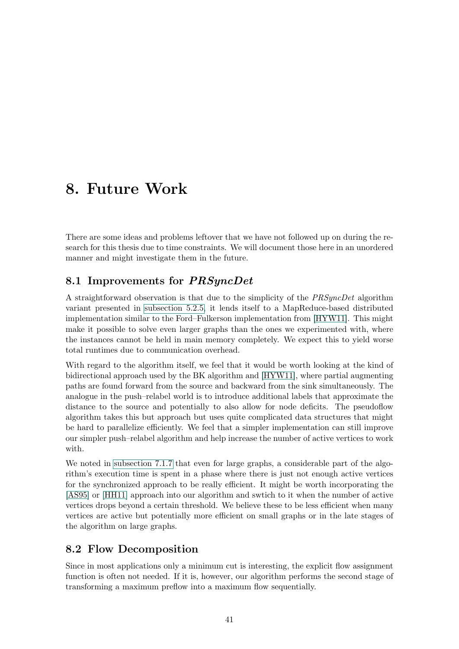## <span id="page-46-0"></span>8. Future Work

There are some ideas and problems leftover that we have not followed up on during the research for this thesis due to time constraints. We will document those here in an unordered manner and might investigate them in the future.

## <span id="page-46-1"></span>8.1 Improvements for PRSyncDet

A straightforward observation is that due to the simplicity of the PRSyncDet algorithm variant presented in [subsection 5.2.5,](#page-26-1) it lends itself to a MapReduce-based distributed implementation similar to the Ford–Fulkerson implementation from [\[HYW11\]](#page-51-8). This might make it possible to solve even larger graphs than the ones we experimented with, where the instances cannot be held in main memory completely. We expect this to yield worse total runtimes due to communication overhead.

With regard to the algorithm itself, we feel that it would be worth looking at the kind of bidirectional approach used by the BK algorithm and [\[HYW11\]](#page-51-8), where partial augmenting paths are found forward from the source and backward from the sink simultaneously. The analogue in the push–relabel world is to introduce additional labels that approximate the distance to the source and potentially to also allow for node deficits. The pseudoflow algorithm takes this but approach but uses quite complicated data structures that might be hard to parallelize efficiently. We feel that a simpler implementation can still improve our simpler push–relabel algorithm and help increase the number of active vertices to work with.

We noted in [subsection 7.1.7](#page-41-0) that even for large graphs, a considerable part of the algorithm's execution time is spent in a phase where there is just not enough active vertices for the synchronized approach to be really efficient. It might be worth incorporating the [\[AS95\]](#page-50-8) or [\[HH11\]](#page-51-7) approach into our algorithm and swtich to it when the number of active vertices drops beyond a certain threshold. We believe these to be less efficient when many vertices are active but potentially more efficient on small graphs or in the late stages of the algorithm on large graphs.

## <span id="page-46-2"></span>8.2 Flow Decomposition

Since in most applications only a minimum cut is interesting, the explicit flow assignment function is often not needed. If it is, however, our algorithm performs the second stage of transforming a maximum preflow into a maximum flow sequentially.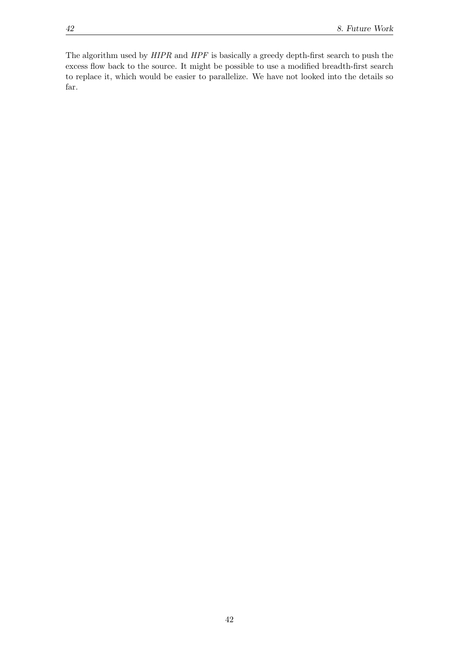The algorithm used by HIPR and HPF is basically a greedy depth-first search to push the excess flow back to the source. It might be possible to use a modified breadth-first search to replace it, which would be easier to parallelize. We have not looked into the details so far.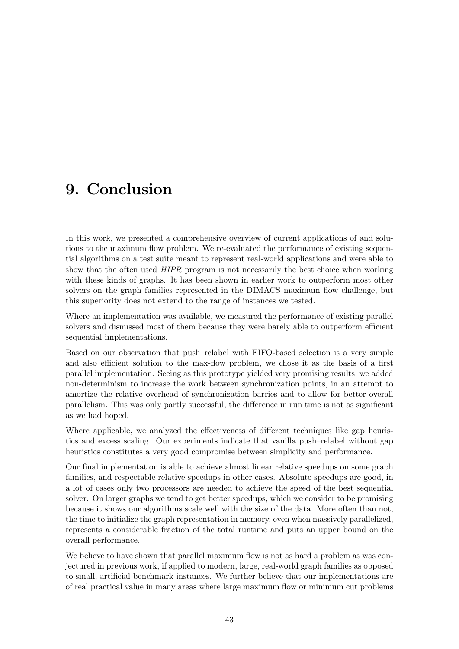# <span id="page-48-0"></span>9. Conclusion

In this work, we presented a comprehensive overview of current applications of and solutions to the maximum flow problem. We re-evaluated the performance of existing sequential algorithms on a test suite meant to represent real-world applications and were able to show that the often used HIPR program is not necessarily the best choice when working with these kinds of graphs. It has been shown in earlier work to outperform most other solvers on the graph families represented in the DIMACS maximum flow challenge, but this superiority does not extend to the range of instances we tested.

Where an implementation was available, we measured the performance of existing parallel solvers and dismissed most of them because they were barely able to outperform efficient sequential implementations.

Based on our observation that push–relabel with FIFO-based selection is a very simple and also efficient solution to the max-flow problem, we chose it as the basis of a first parallel implementation. Seeing as this prototype yielded very promising results, we added non-determinism to increase the work between synchronization points, in an attempt to amortize the relative overhead of synchronization barries and to allow for better overall parallelism. This was only partly successful, the difference in run time is not as significant as we had hoped.

Where applicable, we analyzed the effectiveness of different techniques like gap heuristics and excess scaling. Our experiments indicate that vanilla push–relabel without gap heuristics constitutes a very good compromise between simplicity and performance.

Our final implementation is able to achieve almost linear relative speedups on some graph families, and respectable relative speedups in other cases. Absolute speedups are good, in a lot of cases only two processors are needed to achieve the speed of the best sequential solver. On larger graphs we tend to get better speedups, which we consider to be promising because it shows our algorithms scale well with the size of the data. More often than not, the time to initialize the graph representation in memory, even when massively parallelized, represents a considerable fraction of the total runtime and puts an upper bound on the overall performance.

We believe to have shown that parallel maximum flow is not as hard a problem as was conjectured in previous work, if applied to modern, large, real-world graph families as opposed to small, artificial benchmark instances. We further believe that our implementations are of real practical value in many areas where large maximum flow or minimum cut problems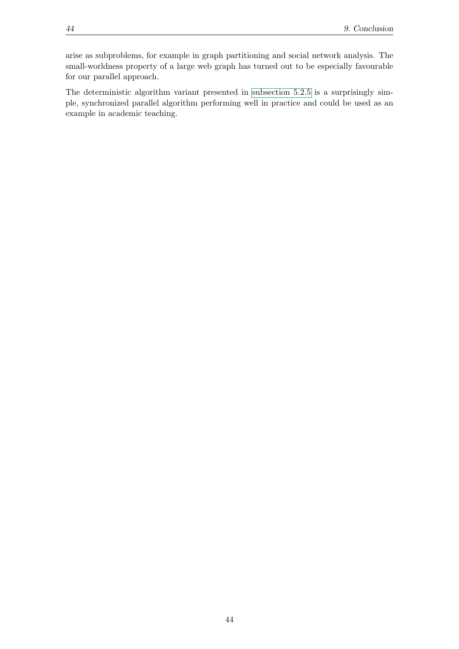arise as subproblems, for example in graph partitioning and social network analysis. The small-worldness property of a large web graph has turned out to be especially favourable for our parallel approach.

The deterministic algorithm variant presented in [subsection 5.2.5](#page-26-1) is a surprisingly simple, synchronized parallel algorithm performing well in practice and could be used as an example in academic teaching.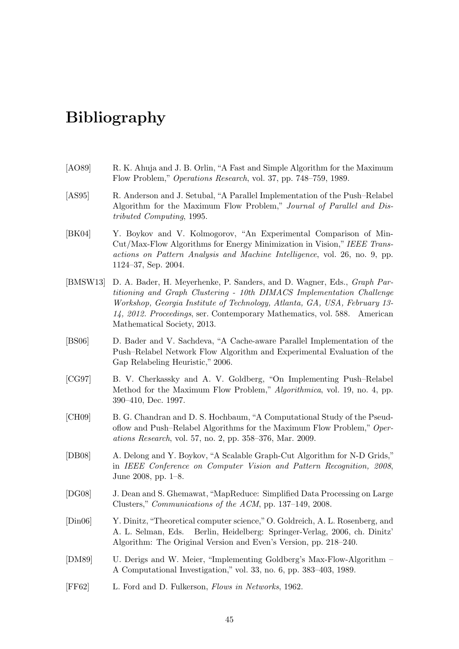# <span id="page-50-0"></span>Bibliography

- <span id="page-50-12"></span>[AO89] R. K. Ahuja and J. B. Orlin, "A Fast and Simple Algorithm for the Maximum Flow Problem," Operations Research, vol. 37, pp. 748–759, 1989.
- <span id="page-50-8"></span>[AS95] R. Anderson and J. Setubal, "A Parallel Implementation of the Push–Relabel Algorithm for the Maximum Flow Problem," Journal of Parallel and Distributed Computing, 1995.
- <span id="page-50-3"></span>[BK04] Y. Boykov and V. Kolmogorov, "An Experimental Comparison of Min-Cut/Max-Flow Algorithms for Energy Minimization in Vision," IEEE Transactions on Pattern Analysis and Machine Intelligence, vol. 26, no. 9, pp. 1124–37, Sep. 2004.
- <span id="page-50-11"></span>[BMSW13] D. A. Bader, H. Meyerhenke, P. Sanders, and D. Wagner, Eds., Graph Partitioning and Graph Clustering - 10th DIMACS Implementation Challenge Workshop, Georgia Institute of Technology, Atlanta, GA, USA, February 13- 14, 2012. Proceedings, ser. Contemporary Mathematics, vol. 588. American Mathematical Society, 2013.
- <span id="page-50-9"></span>[BS06] D. Bader and V. Sachdeva, "A Cache-aware Parallel Implementation of the Push–Relabel Network Flow Algorithm and Experimental Evaluation of the Gap Relabeling Heuristic," 2006.
- <span id="page-50-5"></span>[CG97] B. V. Cherkassky and A. V. Goldberg, "On Implementing Push–Relabel Method for the Maximum Flow Problem," Algorithmica, vol. 19, no. 4, pp. 390–410, Dec. 1997.
- <span id="page-50-6"></span>[CH09] B. G. Chandran and D. S. Hochbaum, "A Computational Study of the Pseudoflow and Push–Relabel Algorithms for the Maximum Flow Problem," Operations Research, vol. 57, no. 2, pp. 358–376, Mar. 2009.
- <span id="page-50-7"></span>[DB08] A. Delong and Y. Boykov, "A Scalable Graph-Cut Algorithm for N-D Grids," in IEEE Conference on Computer Vision and Pattern Recognition, 2008, June 2008, pp. 1–8.
- <span id="page-50-10"></span>[DG08] J. Dean and S. Ghemawat, "MapReduce: Simplified Data Processing on Large Clusters," Communications of the ACM, pp. 137–149, 2008.
- <span id="page-50-2"></span>[Din06] Y. Dinitz, "Theoretical computer science,"O. Goldreich, A. L. Rosenberg, and A. L. Selman, Eds. Berlin, Heidelberg: Springer-Verlag, 2006, ch. Dinitz' Algorithm: The Original Version and Even's Version, pp. 218–240.
- <span id="page-50-4"></span>[DM89] U. Derigs and W. Meier, "Implementing Goldberg's Max-Flow-Algorithm – A Computational Investigation," vol. 33, no. 6, pp. 383–403, 1989.
- <span id="page-50-1"></span>[FF62] L. Ford and D. Fulkerson, Flows in Networks, 1962.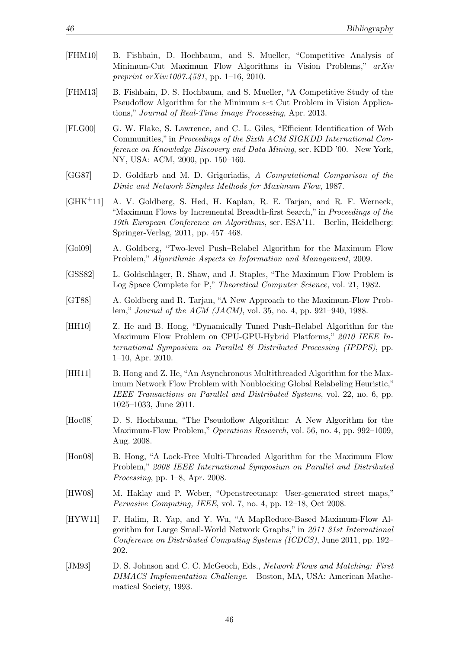<span id="page-51-13"></span><span id="page-51-12"></span><span id="page-51-10"></span><span id="page-51-9"></span><span id="page-51-4"></span><span id="page-51-3"></span><span id="page-51-1"></span><span id="page-51-0"></span>

| [FHM10]       | B. Fishbain, D. Hochbaum, and S. Mueller, "Competitive Analysis of<br>Minimum-Cut Maximum Flow Algorithms in Vision Problems," arXiv<br>preprint $arXiv:1007.4531$ , pp. 1-16, 2010.                                                                                        |  |  |  |  |  |  |  |
|---------------|-----------------------------------------------------------------------------------------------------------------------------------------------------------------------------------------------------------------------------------------------------------------------------|--|--|--|--|--|--|--|
| [FHM13]       | B. Fishbain, D. S. Hochbaum, and S. Mueller, "A Competitive Study of the<br>Pseudoflow Algorithm for the Minimum s-t Cut Problem in Vision Applica-<br>tions," Journal of Real-Time Image Processing, Apr. 2013.                                                            |  |  |  |  |  |  |  |
| [FLG00]       | G. W. Flake, S. Lawrence, and C. L. Giles, "Efficient Identification of Web<br>Communities," in Proceedings of the Sixth ACM SIGKDD International Con-<br>ference on Knowledge Discovery and Data Mining, ser. KDD '00. New York,<br>NY, USA: ACM, 2000, pp. 150–160.       |  |  |  |  |  |  |  |
| [GG87]        | D. Goldfarb and M. D. Grigoriadis, A Computational Comparison of the<br>Dinic and Network Simplex Methods for Maximum Flow, 1987.                                                                                                                                           |  |  |  |  |  |  |  |
| $[GHK+11]$    | A. V. Goldberg, S. Hed, H. Kaplan, R. E. Tarjan, and R. F. Werneck,<br>"Maximum Flows by Incremental Breadth-first Search," in <i>Proceedings of the</i><br>19th European Conference on Algorithms, ser. ESA'11. Berlin, Heidelberg:<br>Springer-Verlag, 2011, pp. 457–468. |  |  |  |  |  |  |  |
| [Gol09]       | A. Goldberg, "Two-level Push-Relabel Algorithm for the Maximum Flow<br>Problem," Algorithmic Aspects in Information and Management, 2009.                                                                                                                                   |  |  |  |  |  |  |  |
| [GSS82]       | L. Goldschlager, R. Shaw, and J. Staples, "The Maximum Flow Problem is<br>Log Space Complete for P," Theoretical Computer Science, vol. 21, 1982.                                                                                                                           |  |  |  |  |  |  |  |
| [GT88]        | A. Goldberg and R. Tarjan, "A New Approach to the Maximum-Flow Prob-<br>lem," <i>Journal of the ACM (JACM)</i> , vol. 35, no. 4, pp. 921–940, 1988.                                                                                                                         |  |  |  |  |  |  |  |
| [HH10]        | Z. He and B. Hong, "Dynamically Tuned Push-Relabel Algorithm for the<br>Maximum Flow Problem on CPU-GPU-Hybrid Platforms," 2010 IEEE In-<br>ternational Symposium on Parallel & Distributed Processing (IPDPS), pp.<br>$1-10$ , Apr. 2010.                                  |  |  |  |  |  |  |  |
| [HH11]        | B. Hong and Z. He, "An Asynchronous Multithreaded Algorithm for the Max-<br>imum Network Flow Problem with Nonblocking Global Relabeling Heuristic,"<br>IEEE Transactions on Parallel and Distributed Systems, vol. 22, no. 6, pp.<br>$1025-1033$ , June 2011.              |  |  |  |  |  |  |  |
| [Hoc08]       | D. S. Hochbaum, "The Pseudoflow Algorithm: A New Algorithm for the<br>Maximum-Flow Problem," Operations Research, vol. 56, no. 4, pp. 992-1009,<br>Aug. 2008.                                                                                                               |  |  |  |  |  |  |  |
| $[$ Hon $08]$ | B. Hong, "A Lock-Free Multi-Threaded Algorithm for the Maximum Flow<br>Problem," 2008 IEEE International Symposium on Parallel and Distributed<br><i>Processing</i> , pp. $1–8$ , Apr. 2008.                                                                                |  |  |  |  |  |  |  |
| [HW08]        | M. Haklay and P. Weber, "Openstreetmap: User-generated street maps,"<br><i>Pervasive Computing, IEEE, vol. 7, no. 4, pp. 12–18, Oct 2008.</i>                                                                                                                               |  |  |  |  |  |  |  |
| [HYW11]       | F. Halim, R. Yap, and Y. Wu, "A MapReduce-Based Maximum-Flow Al-<br>gorithm for Large Small-World Network Graphs," in 2011 31st International<br>Conference on Distributed Computing Systems (ICDCS), June 2011, pp. 192–<br>202.                                           |  |  |  |  |  |  |  |
| [JM93]        | D. S. Johnson and C. C. McGeoch, Eds., Network Flows and Matching: First<br>DIMACS Implementation Challenge. Boston, MA, USA: American Mathe-                                                                                                                               |  |  |  |  |  |  |  |

<span id="page-51-14"></span><span id="page-51-11"></span><span id="page-51-8"></span><span id="page-51-7"></span><span id="page-51-6"></span><span id="page-51-5"></span><span id="page-51-2"></span>matical Society, 1993.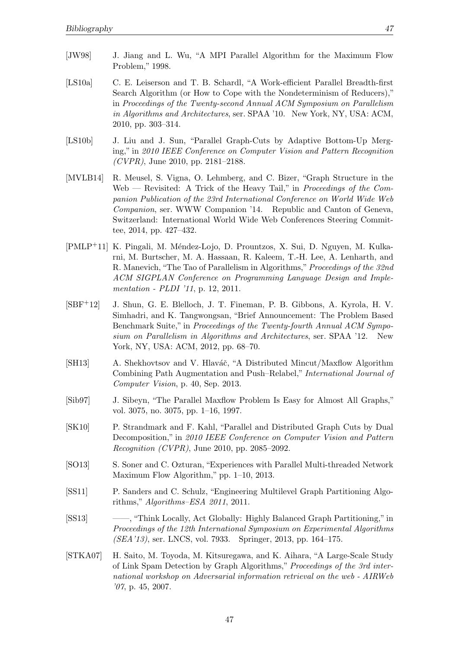- <span id="page-52-12"></span><span id="page-52-4"></span>[LS10a] C. E. Leiserson and T. B. Schardl, "A Work-efficient Parallel Breadth-first Search Algorithm (or How to Cope with the Nondeterminism of Reducers)," in Proceedings of the Twenty-second Annual ACM Symposium on Parallelism in Algorithms and Architectures, ser. SPAA '10. New York, NY, USA: ACM, 2010, pp. 303–314.
- <span id="page-52-1"></span>[LS10b] J. Liu and J. Sun, "Parallel Graph-Cuts by Adaptive Bottom-Up Merging," in 2010 IEEE Conference on Computer Vision and Pattern Recognition  $(CVPR)$ , June 2010, pp. 2181–2188.
- <span id="page-52-10"></span>[MVLB14] R. Meusel, S. Vigna, O. Lehmberg, and C. Bizer, "Graph Structure in the Web — Revisited: A Trick of the Heavy Tail," in Proceedings of the Companion Publication of the 23rd International Conference on World Wide Web Companion, ser. WWW Companion '14. Republic and Canton of Geneva, Switzerland: International World Wide Web Conferences Steering Committee, 2014, pp. 427–432.
- <span id="page-52-5"></span>[PMLP<sup>+</sup>11] K. Pingali, M. Méndez-Lojo, D. Prountzos, X. Sui, D. Nguyen, M. Kulkarni, M. Burtscher, M. A. Hassaan, R. Kaleem, T.-H. Lee, A. Lenharth, and R. Manevich, "The Tao of Parallelism in Algorithms," Proceedings of the 32nd ACM SIGPLAN Conference on Programming Language Design and Implementation - PLDI '11, p. 12, 2011.
- <span id="page-52-11"></span>[SBF+12] J. Shun, G. E. Blelloch, J. T. Fineman, P. B. Gibbons, A. Kyrola, H. V. Simhadri, and K. Tangwongsan, "Brief Announcement: The Problem Based Benchmark Suite," in Proceedings of the Twenty-fourth Annual ACM Symposium on Parallelism in Algorithms and Architectures, ser. SPAA '12. New York, NY, USA: ACM, 2012, pp. 68–70.
- <span id="page-52-3"></span>[SH13] A. Shekhovtsov and V. Hlaváč, "A Distributed Mincut/Maxflow Algorithm Combining Path Augmentation and Push–Relabel," International Journal of Computer Vision, p. 40, Sep. 2013.
- <span id="page-52-0"></span>[Sib97] J. Sibeyn, "The Parallel Maxflow Problem Is Easy for Almost All Graphs," vol. 3075, no. 3075, pp. 1–16, 1997.
- <span id="page-52-2"></span>[SK10] P. Strandmark and F. Kahl, "Parallel and Distributed Graph Cuts by Dual Decomposition," in 2010 IEEE Conference on Computer Vision and Pattern Recognition (CVPR), June 2010, pp. 2085–2092.
- <span id="page-52-6"></span>[SO13] S. Soner and C. Ozturan, "Experiences with Parallel Multi-threaded Network Maximum Flow Algorithm," pp. 1–10, 2013.
- <span id="page-52-7"></span>[SS11] P. Sanders and C. Schulz, "Engineering Multilevel Graph Partitioning Algorithms," Algorithms–ESA 2011, 2011.
- <span id="page-52-8"></span>[SS13] ——, "Think Locally, Act Globally: Highly Balanced Graph Partitioning," in Proceedings of the 12th International Symposium on Experimental Algorithms (SEA'13), ser. LNCS, vol. 7933. Springer, 2013, pp. 164–175.
- <span id="page-52-9"></span>[STKA07] H. Saito, M. Toyoda, M. Kitsuregawa, and K. Aihara, "A Large-Scale Study of Link Spam Detection by Graph Algorithms," Proceedings of the 3rd international workshop on Adversarial information retrieval on the web - AIRWeb '07, p. 45, 2007.